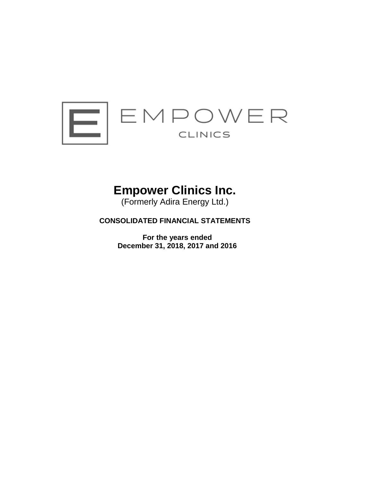

# **Empower Clinics Inc.**

(Formerly Adira Energy Ltd.)

**CONSOLIDATED FINANCIAL STATEMENTS** 

**For the years ended December 31, 2018, 2017 and 2016**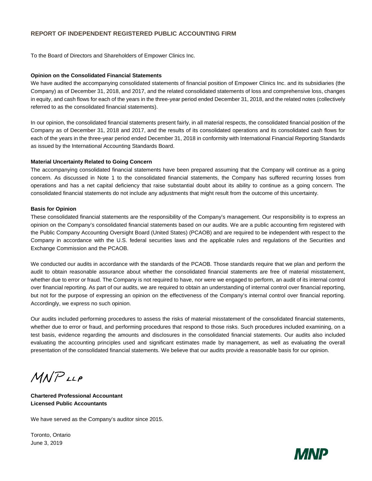# **REPORT OF INDEPENDENT REGISTERED PUBLIC ACCOUNTING FIRM**

To the Board of Directors and Shareholders of Empower Clinics Inc.

# **Opinion on the Consolidated Financial Statements**

We have audited the accompanying consolidated statements of financial position of Empower Clinics Inc. and its subsidiaries (the Company) as of December 31, 2018, and 2017, and the related consolidated statements of loss and comprehensive loss, changes in equity, and cash flows for each of the years in the three-year period ended December 31, 2018, and the related notes (collectively referred to as the consolidated financial statements).

In our opinion, the consolidated financial statements present fairly, in all material respects, the consolidated financial position of the Company as of December 31, 2018 and 2017, and the results of its consolidated operations and its consolidated cash flows for each of the years in the three-year period ended December 31, 2018 in conformity with International Financial Reporting Standards as issued by the International Accounting Standards Board.

# **Material Uncertainty Related to Going Concern**

The accompanying consolidated financial statements have been prepared assuming that the Company will continue as a going concern. As discussed in Note 1 to the consolidated financial statements, the Company has suffered recurring losses from operations and has a net capital deficiency that raise substantial doubt about its ability to continue as a going concern. The consolidated financial statements do not include any adjustments that might result from the outcome of this uncertainty.

# **Basis for Opinion**

These consolidated financial statements are the responsibility of the Company's management. Our responsibility is to express an opinion on the Company's consolidated financial statements based on our audits. We are a public accounting firm registered with the Public Company Accounting Oversight Board (United States) (PCAOB) and are required to be independent with respect to the Company in accordance with the U.S. federal securities laws and the applicable rules and regulations of the Securities and Exchange Commission and the PCAOB.

We conducted our audits in accordance with the standards of the PCAOB. Those standards require that we plan and perform the audit to obtain reasonable assurance about whether the consolidated financial statements are free of material misstatement, whether due to error or fraud. The Company is not required to have, nor were we engaged to perform, an audit of its internal control over financial reporting. As part of our audits, we are required to obtain an understanding of internal control over financial reporting, but not for the purpose of expressing an opinion on the effectiveness of the Company's internal control over financial reporting. Accordingly, we express no such opinion.

Our audits included performing procedures to assess the risks of material misstatement of the consolidated financial statements, whether due to error or fraud, and performing procedures that respond to those risks. Such procedures included examining, on a test basis, evidence regarding the amounts and disclosures in the consolidated financial statements. Our audits also included evaluating the accounting principles used and significant estimates made by management, as well as evaluating the overall presentation of the consolidated financial statements. We believe that our audits provide a reasonable basis for our opinion.

 $MNPLLP$ 

**Chartered Professional Accountant Licensed Public Accountants** 

We have served as the Company's auditor since 2015.

Toronto, Ontario June 3, 2019

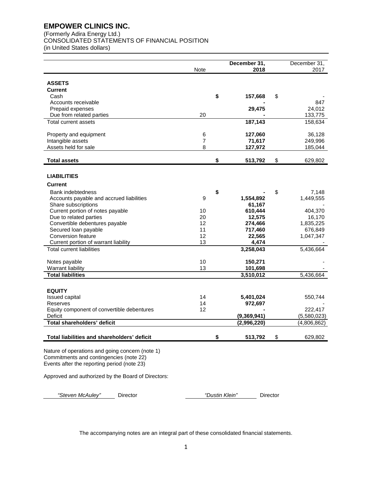(Formerly Adira Energy Ltd.)

CONSOLIDATED STATEMENTS OF FINANCIAL POSITION

(in United States dollars)

|                                             | Note           | December 31,<br>2018 |                 |    | December 31,<br>2017 |
|---------------------------------------------|----------------|----------------------|-----------------|----|----------------------|
| <b>ASSETS</b>                               |                |                      |                 |    |                      |
| <b>Current</b>                              |                |                      |                 |    |                      |
| Cash                                        |                | \$                   | 157,668         | \$ |                      |
| Accounts receivable                         |                |                      |                 |    | 847                  |
| Prepaid expenses                            |                |                      | 29,475          |    | 24,012               |
| Due from related parties                    | 20             |                      |                 |    | 133,775              |
| <b>Total current assets</b>                 |                |                      | 187,143         |    | 158,634              |
| Property and equipment                      | 6              |                      | 127,060         |    | 36,128               |
| Intangible assets                           | $\overline{7}$ |                      | 71,617          |    | 249,996              |
| Assets held for sale                        | 8              |                      | 127,972         |    | 185,044              |
|                                             |                |                      |                 |    |                      |
| <b>Total assets</b>                         |                | \$                   | 513,792         | \$ | 629,802              |
|                                             |                |                      |                 |    |                      |
| <b>LIABILITIES</b>                          |                |                      |                 |    |                      |
| <b>Current</b>                              |                |                      |                 |    |                      |
| Bank indebtedness                           |                | \$                   |                 | \$ | 7,148                |
| Accounts payable and accrued liabilities    | 9              |                      | 1,554,892       |    | 1,449,555            |
| Share subscriptions                         |                |                      | 61,167          |    |                      |
| Current portion of notes payable            | 10             |                      | 610,444         |    | 404,370              |
| Due to related parties                      | 20             |                      | 12,575          |    | 16,170               |
| Convertible debentures payable              | 12             |                      | 274,466         |    | 1,835,225            |
| Secured loan payable<br>Conversion feature  | 11<br>12       |                      | 717,460         |    | 676,849              |
| Current portion of warrant liability        | 13             |                      | 22,565<br>4,474 |    | 1,047,347            |
| Total current liabilities                   |                |                      | 3,258,043       |    | 5,436,664            |
|                                             |                |                      |                 |    |                      |
| Notes payable                               | 10             |                      | 150,271         |    |                      |
| Warrant liability                           | 13             |                      | 101,698         |    |                      |
| <b>Total liabilities</b>                    |                |                      | 3,510,012       |    | 5,436,664            |
|                                             |                |                      |                 |    |                      |
| <b>EQUITY</b>                               |                |                      |                 |    |                      |
| <b>Issued capital</b>                       | 14             |                      | 5,401,024       |    | 550,744              |
| Reserves                                    | 14             |                      | 972,697         |    |                      |
| Equity component of convertible debentures  | 12             |                      |                 |    | 222,417              |
| Deficit                                     |                |                      | (9,369,941)     |    | (5,580,023)          |
| <b>Total shareholders' deficit</b>          |                |                      | (2,996,220)     |    | (4,806,862)          |
| Total liabilities and shareholders' deficit |                | \$                   | 513,792         | \$ | 629,802              |

Nature of operations and going concern (note 1) Commitments and contingencies (note 22) Events after the reporting period (note 23)

Approved and authorized by the Board of Directors:

*"Steven McAuley"* Director *"Dustin Klein"* Director

The accompanying notes are an integral part of these consolidated financial statements.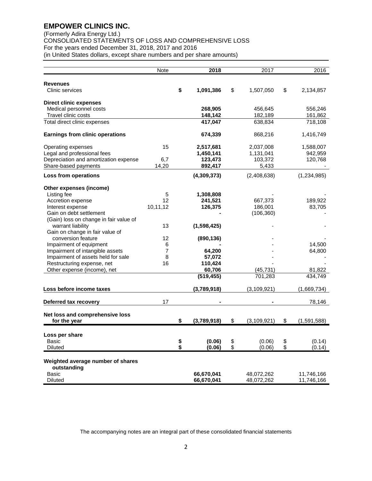(Formerly Adira Energy Ltd.) CONSOLIDATED STATEMENTS OF LOSS AND COMPREHENSIVE LOSS For the years ended December 31, 2018, 2017 and 2016 (in United States dollars, except share numbers and per share amounts)

|                                                            | Note     |          | 2018        | 2017                | 2016              |
|------------------------------------------------------------|----------|----------|-------------|---------------------|-------------------|
|                                                            |          |          |             |                     |                   |
| <b>Revenues</b>                                            |          |          |             |                     |                   |
| Clinic services                                            |          | \$       | 1,091,386   | \$<br>1,507,050     | \$<br>2,134,857   |
| <b>Direct clinic expenses</b>                              |          |          |             |                     |                   |
| Medical personnel costs                                    |          |          | 268,905     | 456,645             | 556,246           |
| Travel clinic costs                                        |          |          | 148,142     | 182,189             | 161,862           |
| Total direct clinic expenses                               |          |          | 417,047     | 638,834             | 718,108           |
| <b>Earnings from clinic operations</b>                     |          |          | 674,339     | 868,216             | 1,416,749         |
| Operating expenses                                         | 15       |          | 2,517,681   | 2,037,008           | 1,588,007         |
| Legal and professional fees                                |          |          | 1,450,141   | 1,131,041           | 942,959           |
| Depreciation and amortization expense                      | 6,7      |          | 123,473     | 103,372             | 120,768           |
| Share-based payments                                       | 14,20    |          | 892,417     | 5,433               |                   |
| Loss from operations                                       |          |          | (4,309,373) | (2,408,638)         | (1, 234, 985)     |
| Other expenses (income)                                    |          |          |             |                     |                   |
| Listing fee                                                | 5        |          | 1,308,808   |                     |                   |
| Accretion expense                                          | 12       |          | 241,521     | 667,373             | 189,922           |
| Interest expense                                           | 10,11,12 |          | 126,375     | 186,001             | 83,705            |
| Gain on debt settlement                                    |          |          |             | (106, 360)          |                   |
| (Gain) loss on change in fair value of                     |          |          |             |                     |                   |
| warrant liability                                          | 13       |          | (1,598,425) |                     |                   |
| Gain on change in fair value of                            |          |          |             |                     |                   |
| conversion feature                                         | 12       |          | (890, 136)  |                     |                   |
| Impairment of equipment<br>Impairment of intangible assets | 6<br>7   |          | 64,200      |                     | 14,500            |
| Impairment of assets held for sale                         | 8        |          | 57,072      |                     | 64,800            |
| Restructuring expense, net                                 | 16       |          | 110,424     |                     |                   |
| Other expense (income), net                                |          |          | 60,706      | (45, 731)           | 81,822            |
|                                                            |          |          | (519, 455)  | 701,283             | 434,749           |
| Loss before income taxes                                   |          |          | (3,789,918) | (3, 109, 921)       | (1,669,734)       |
| Deferred tax recovery                                      | 17       |          |             |                     | 78,146            |
|                                                            |          |          |             |                     |                   |
| Net loss and comprehensive loss<br>for the year            |          | \$       | (3,789,918) | \$<br>(3, 109, 921) | \$<br>(1,591,588) |
|                                                            |          |          |             |                     |                   |
| Loss per share                                             |          |          |             |                     |                   |
| Basic                                                      |          | \$<br>\$ | (0.06)      | \$<br>(0.06)        | \$<br>(0.14)      |
| Diluted                                                    |          |          | (0.06)      | \$<br>(0.06)        | \$<br>(0.14)      |
| Weighted average number of shares                          |          |          |             |                     |                   |
| outstanding                                                |          |          |             |                     |                   |
| <b>Basic</b>                                               |          |          | 66,670,041  | 48,072,262          | 11,746,166        |
| Diluted                                                    |          |          | 66,670,041  | 48,072,262          | 11,746,166        |

The accompanying notes are an integral part of these consolidated financial statements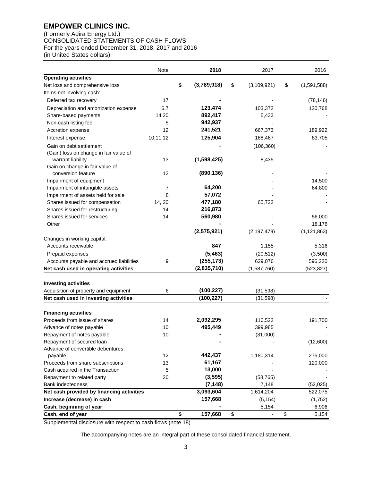(Formerly Adira Energy Ltd.) CONSOLIDATED STATEMENTS OF CASH FLOWS For the years ended December 31, 2018, 2017 and 2016 (in United States dollars)

|                                                             | Note     | 2018              | 2017                | 2016              |
|-------------------------------------------------------------|----------|-------------------|---------------------|-------------------|
| <b>Operating activities</b>                                 |          |                   |                     |                   |
| Net loss and comprehensive loss                             |          | \$<br>(3,789,918) | \$<br>(3, 109, 921) | \$<br>(1,591,588) |
| Items not involving cash:                                   |          |                   |                     |                   |
| Deferred tax recovery                                       | 17       |                   |                     | (78, 146)         |
| Depreciation and amortization expense                       | 6,7      | 123,474           | 103,372             | 120,768           |
| Share-based payments                                        | 14,20    | 892,417           | 5,433               |                   |
| Non-cash listing fee                                        | 5        | 942,937           |                     |                   |
| Accretion expense                                           | 12       | 241,521           | 667,373             | 189,922           |
| Interest expense                                            | 10,11,12 | 125,904           | 168,467             | 83,705            |
| Gain on debt settlement                                     |          |                   | (106, 360)          |                   |
| (Gain) loss on change in fair value of<br>warrant liability | 13       | (1,598,425)       | 8,435               |                   |
| Gain on change in fair value of                             |          |                   |                     |                   |
| conversion feature                                          | 12       | (890, 136)        |                     |                   |
| Impairment of equipment                                     |          |                   |                     | 14,500            |
| Impairment of intangible assets                             | 7        | 64,200            |                     | 64,800            |
| Impairment of assets held for sale                          | 8        | 57,072            |                     |                   |
| Shares issued for compensation                              | 14, 20   | 477,180           | 65,722              |                   |
| Shares issued for restructuring                             | 14       | 216,873           |                     |                   |
| Shares issued for services                                  | 14       | 560,980           |                     | 56,000            |
| Other                                                       |          |                   |                     | 18,176            |
|                                                             |          | (2,575,921)       | (2, 197, 479)       | (1, 121, 863)     |
| Changes in working capital:                                 |          |                   |                     |                   |
| Accounts receivable                                         |          | 847               | 1,155               | 5,316             |
| Prepaid expenses                                            |          | (5, 463)          | (20, 512)           | (3,500)           |
| Accounts payable and accrued liabilities                    | 9        | (255, 173)        | 629,076             | 596,220           |
| Net cash used in operating activities                       |          | (2,835,710)       | (1,587,760)         | (523, 827)        |
| <b>Investing activities</b>                                 |          |                   |                     |                   |
| Acquisition of property and equipment                       | 6        | (100, 227)        | (31, 598)           |                   |
| Net cash used in investing activities                       |          | (100, 227)        | (31, 598)           |                   |
|                                                             |          |                   |                     |                   |
| <b>Financing activities</b>                                 |          |                   |                     |                   |
| Proceeds from issue of shares                               | 14       | 2,092,295         | 116,522             | 191,700           |
| Advance of notes payable                                    | 10       | 495,449           | 399,985             |                   |
| Repayment of notes payable                                  | 10       |                   | (31,000)            |                   |
| Repayment of secured loan                                   |          |                   |                     | (12,600)          |
| Advance of convertible debentures                           |          |                   |                     |                   |
| payable                                                     | 12       | 442,437           | 1,180,314           | 275,000           |
| Proceeds from share subscriptions                           | 13       | 61,167            |                     | 120,000           |
| Cash acquired in the Transaction                            | 5        | 13,000            |                     |                   |
| Repayment to related party                                  | 20       | (3, 595)          | (58, 765)           |                   |
| Bank indebtedness                                           |          | (7, 148)          | 7,148               | (52, 025)         |
| Net cash provided by financing activities                   |          | 3,093,604         | 1,614,204           | 522,075           |
| Increase (decrease) in cash                                 |          | 157,668           | (5, 154)            | (1,752)           |
| Cash, beginning of year                                     |          |                   | 5,154               | 6,906             |
| Cash, end of year                                           |          | \$<br>157,668     | \$                  | \$<br>5,154       |

Supplemental disclosure with respect to cash flows (note 18)

The accompanying notes are an integral part of these consolidated financial statement.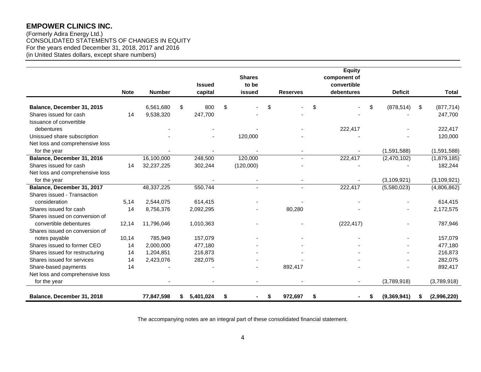(Formerly Adira Energy Ltd.) CONSOLIDATED STATEMENTS OF CHANGES IN EQUITY For the years ended December 31, 2018, 2017 and 2016 (in United States dollars, except share numbers)

|                                 |             |               |               | <b>Shares</b> |                 | <b>Equity</b><br>component of |                  |                  |
|---------------------------------|-------------|---------------|---------------|---------------|-----------------|-------------------------------|------------------|------------------|
|                                 |             |               | <b>Issued</b> | to be         |                 | convertible                   |                  |                  |
|                                 | <b>Note</b> | <b>Number</b> | capital       | issued        | <b>Reserves</b> | debentures                    | <b>Deficit</b>   | <b>Total</b>     |
| Balance, December 31, 2015      |             | 6,561,680     | \$<br>800     | \$            | \$              | \$                            | \$<br>(878, 514) | \$<br>(877, 714) |
| Shares issued for cash          | 14          | 9,538,320     | 247,700       |               |                 |                               |                  | 247,700          |
| Issuance of convertible         |             |               |               |               |                 |                               |                  |                  |
| debentures                      |             |               |               |               |                 | 222,417                       |                  | 222,417          |
| Unissued share subscription     |             |               |               | 120,000       |                 |                               |                  | 120,000          |
| Net loss and comprehensive loss |             |               |               |               |                 |                               |                  |                  |
| for the year                    |             |               |               |               |                 |                               | (1,591,588)      | (1,591,588)      |
| Balance, December 31, 2016      |             | 16,100,000    | 248,500       | 120,000       | $\blacksquare$  | 222,417                       | (2,470,102)      | (1,879,185)      |
| Shares issued for cash          | 14          | 32,237,225    | 302,244       | (120,000)     |                 |                               |                  | 182,244          |
| Net loss and comprehensive loss |             |               |               |               |                 |                               |                  |                  |
| for the year                    |             |               |               |               |                 |                               | (3, 109, 921)    | (3, 109, 921)    |
| Balance, December 31, 2017      |             | 48,337,225    | 550,744       | $\sim$        | $\sim$          | 222,417                       | (5,580,023)      | (4,806,862)      |
| Shares issued - Transaction     |             |               |               |               |                 |                               |                  |                  |
| consideration                   | 5,14        | 2,544,075     | 614,415       |               |                 |                               |                  | 614,415          |
| Shares issued for cash          | 14          | 8,756,376     | 2,092,295     |               | 80,280          |                               |                  | 2,172,575        |
| Shares issued on conversion of  |             |               |               |               |                 |                               |                  |                  |
| convertible debentures          | 12,14       | 11,796,046    | 1,010,363     |               |                 | (222, 417)                    |                  | 787,946          |
| Shares issued on conversion of  |             |               |               |               |                 |                               |                  |                  |
| notes payable                   | 10,14       | 785,949       | 157,079       |               |                 |                               |                  | 157,079          |
| Shares issued to former CEO     | 14          | 2,000,000     | 477,180       |               |                 |                               |                  | 477,180          |
| Shares issued for restructuring | 14          | 1,204,851     | 216,873       |               |                 |                               |                  | 216,873          |
| Shares issued for services      | 14          | 2,423,076     | 282,075       |               |                 |                               |                  | 282,075          |
| Share-based payments            | 14          |               |               |               | 892,417         |                               |                  | 892,417          |
| Net loss and comprehensive loss |             |               |               |               |                 |                               |                  |                  |
| for the year                    |             |               |               |               |                 |                               | (3,789,918)      | (3,789,918)      |
| Balance, December 31, 2018      |             | 77,847,598    | 5,401,024     |               | 972,697         | \$                            | (9,369,941)      | (2,996,220)      |

The accompanying notes are an integral part of these consolidated financial statement.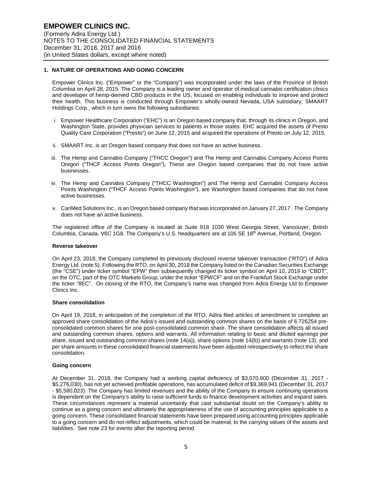# **1. NATURE OF OPERATIONS AND GOING CONCERN**

Empower Clinics Inc. ("Empower" or the "Company") was incorporated under the laws of the Province of British Columbia on April 28, 2015. The Company is a leading owner and operator of medical cannabis certification clinics and developer of hemp-derived CBD products in the US, focused on enabling individuals to improve and protect their health. This business is conducted through Empower's wholly-owned Nevada, USA subsidiary, SMAART Holdings Corp., which in turn owns the following subsidiaries:

- i. Empower Healthcare Corporation ("EHC") is an Oregon based company that, through its clinics in Oregon, and Washington State, provides physician services to patients in those states. EHC acquired the assets of Presto Quality Care Corporation ("Presto") on June 12, 2015 and acquired the operations of Presto on July 12, 2015.
- ii. SMAART Inc. is an Oregon based company that does not have an active business.
- iii. The Hemp and Cannabis Company ("THCC Oregon") and The Hemp and Cannabis Company Access Points Oregon ("THCF Access Points Oregon"), These are Oregon based companies that do not have active businesses.
- iv. The Hemp and Cannabis Company ("THCC Washington") and The Hemp and Cannabis Company Access Points Washington ("THCF Access Points Washington"), are Washington based companies that do not have active businesses.
- v. CanMed Solutions Inc., is an Oregon based company that was incorporated on January 27, 2017. The Company does not have an active business.

The registered office of the Company is located at Suite 918 1030 West Georgia Street, Vancouver, British Columbia, Canada, V6C 1G8. The Company's U.S. headquarters are at 105 SE 18<sup>th</sup> Avenue, Portland, Oregon.

# **Reverse takeover**

On April 23, 2018, the Company completed its previously disclosed reverse takeover transaction ("RTO") of Adira Energy Ltd. (note 5). Following the RTO, on April 30, 2018 the Company listed on the Canadian Securities Exchange (the "CSE") under ticker symbol "EPW" then subsequently changed its ticker symbol on April 10, 2019 to "CBDT", on the OTC, part of the OTC Markets Group, under the ticker "EPWCF" and on the Frankfurt Stock Exchange under the ticker "8EC". On closing of the RTO, the Company's name was changed from Adira Energy Ltd to Empower Clinics Inc.

# **Share consolidation**

On April 19, 2018, in anticipation of the completion of the RTO, Adira filed articles of amendment to complete an approved share consolidation of the Adira's issued and outstanding common shares on the basis of 6.726254 preconsolidated common shares for one post-consolidated common share. The share consolidation affects all issued and outstanding common shares, options and warrants. All information relating to basic and diluted earnings per share, issued and outstanding common shares (note 14(a)), share options (note 14(b)) and warrants (note 13), and per share amounts in these consolidated financial statements have been adjusted retrospectively to reflect the share consolidation.

# **Going concern**

At December 31, 2018, the Company had a working capital deficiency of \$3,070,900 (December 31, 2017 - \$5,278,030), has not yet achieved profitable operations, has accumulated deficit of \$9,369,941 (December 31, 2017 - \$5,580,023). The Company has limited revenues and the ability of the Company to ensure continuing operations is dependent on the Company's ability to raise sufficient funds to finance development activities and expand sales. These circumstances represent a material uncertainty that cast substantial doubt on the Company's ability to continue as a going concern and ultimately the appropriateness of the use of accounting principles applicable to a going concern. These consolidated financial statements have been prepared using accounting principles applicable to a going concern and do not reflect adjustments, which could be material, to the carrying values of the assets and liabilities. See note 23 for events after the reporting period.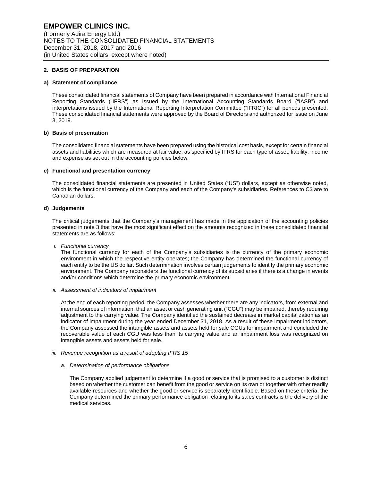# **2. BASIS OF PREPARATION**

#### **a) Statement of compliance**

These consolidated financial statements of Company have been prepared in accordance with International Financial Reporting Standards ("IFRS") as issued by the International Accounting Standards Board ("IASB") and interpretations issued by the International Reporting Interpretation Committee ("IFRIC") for all periods presented. These consolidated financial statements were approved by the Board of Directors and authorized for issue on June 3, 2019.

#### **b) Basis of presentation**

The consolidated financial statements have been prepared using the historical cost basis, except for certain financial assets and liabilities which are measured at fair value, as specified by IFRS for each type of asset, liability, income and expense as set out in the accounting policies below.

#### **c) Functional and presentation currency**

The consolidated financial statements are presented in United States ("US") dollars, except as otherwise noted, which is the functional currency of the Company and each of the Company's subsidiaries. References to C\$ are to Canadian dollars.

#### **d) Judgements**

The critical judgements that the Company's management has made in the application of the accounting policies presented in note 3 that have the most significant effect on the amounts recognized in these consolidated financial statements are as follows:

*i. Functional currency* 

The functional currency for each of the Company's subsidiaries is the currency of the primary economic environment in which the respective entity operates; the Company has determined the functional currency of each entity to be the US dollar. Such determination involves certain judgements to identify the primary economic environment. The Company reconsiders the functional currency of its subsidiaries if there is a change in events and/or conditions which determine the primary economic environment.

*ii. Assessment of indicators of impairment* 

At the end of each reporting period, the Company assesses whether there are any indicators, from external and internal sources of information, that an asset or cash generating unit ("CGU") may be impaired, thereby requiring adjustment to the carrying value. The Company identified the sustained decrease in market capitalization as an indicator of impairment during the year ended December 31, 2018. As a result of these impairment indicators, the Company assessed the intangible assets and assets held for sale CGUs for impairment and concluded the recoverable value of each CGU was less than its carrying value and an impairment loss was recognized on intangible assets and assets held for sale.

*iii. Revenue recognition as a result of adopting IFRS 15* 

#### *a. Determination of performance obligations*

The Company applied judgement to determine if a good or service that is promised to a customer is distinct based on whether the customer can benefit from the good or service on its own or together with other readily available resources and whether the good or service is separately identifiable. Based on these criteria, the Company determined the primary performance obligation relating to its sales contracts is the delivery of the medical services.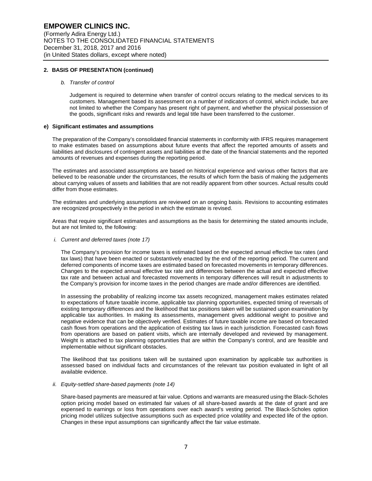# **2. BASIS OF PRESENTATION (continued)**

#### *b. Transfer of control*

Judgement is required to determine when transfer of control occurs relating to the medical services to its customers. Management based its assessment on a number of indicators of control, which include, but are not limited to whether the Company has present right of payment, and whether the physical possession of the goods, significant risks and rewards and legal title have been transferred to the customer.

#### **e) Significant estimates and assumptions**

The preparation of the Company's consolidated financial statements in conformity with IFRS requires management to make estimates based on assumptions about future events that affect the reported amounts of assets and liabilities and disclosures of contingent assets and liabilities at the date of the financial statements and the reported amounts of revenues and expenses during the reporting period.

The estimates and associated assumptions are based on historical experience and various other factors that are believed to be reasonable under the circumstances, the results of which form the basis of making the judgements about carrying values of assets and liabilities that are not readily apparent from other sources. Actual results could differ from those estimates.

The estimates and underlying assumptions are reviewed on an ongoing basis. Revisions to accounting estimates are recognized prospectively in the period in which the estimate is revised.

Areas that require significant estimates and assumptions as the basis for determining the stated amounts include, but are not limited to, the following:

*i. Current and deferred taxes (note 17)* 

The Company's provision for income taxes is estimated based on the expected annual effective tax rates (and tax laws) that have been enacted or substantively enacted by the end of the reporting period. The current and deferred components of income taxes are estimated based on forecasted movements in temporary differences. Changes to the expected annual effective tax rate and differences between the actual and expected effective tax rate and between actual and forecasted movements in temporary differences will result in adjustments to the Company's provision for income taxes in the period changes are made and/or differences are identified.

In assessing the probability of realizing income tax assets recognized, management makes estimates related to expectations of future taxable income, applicable tax planning opportunities, expected timing of reversals of existing temporary differences and the likelihood that tax positions taken will be sustained upon examination by applicable tax authorities. In making its assessments, management gives additional weight to positive and negative evidence that can be objectively verified. Estimates of future taxable income are based on forecasted cash flows from operations and the application of existing tax laws in each jurisdiction. Forecasted cash flows from operations are based on patient visits, which are internally developed and reviewed by management. Weight is attached to tax planning opportunities that are within the Company's control, and are feasible and implementable without significant obstacles.

The likelihood that tax positions taken will be sustained upon examination by applicable tax authorities is assessed based on individual facts and circumstances of the relevant tax position evaluated in light of all available evidence.

#### *ii. Equity-settled share-based payments (note 14)*

Share-based payments are measured at fair value. Options and warrants are measured using the Black-Scholes option pricing model based on estimated fair values of all share-based awards at the date of grant and are expensed to earnings or loss from operations over each award's vesting period. The Black-Scholes option pricing model utilizes subjective assumptions such as expected price volatility and expected life of the option. Changes in these input assumptions can significantly affect the fair value estimate.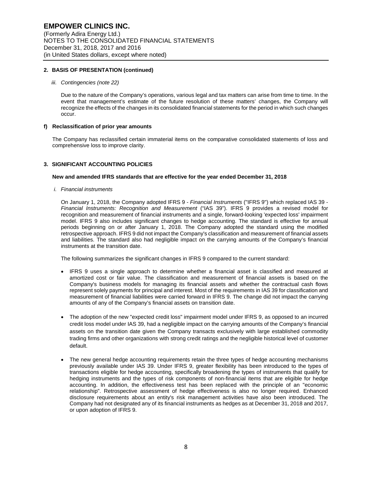# **2. BASIS OF PRESENTATION (continued)**

#### *iii. Contingencies (note 22)*

Due to the nature of the Company's operations, various legal and tax matters can arise from time to time. In the event that management's estimate of the future resolution of these matters' changes, the Company will recognize the effects of the changes in its consolidated financial statements for the period in which such changes occur.

#### **f) Reclassification of prior year amounts**

The Company has reclassified certain immaterial items on the comparative consolidated statements of loss and comprehensive loss to improve clarity.

# **3. SIGNIFICANT ACCOUNTING POLICIES**

#### **New and amended IFRS standards that are effective for the year ended December 31, 2018**

*i. Financial instruments* 

On January 1, 2018, the Company adopted IFRS 9 - *Financial Instruments* ("IFRS 9") which replaced IAS 39 - *Financial Instruments: Recognition and Measurement* ("IAS 39"). IFRS 9 provides a revised model for recognition and measurement of financial instruments and a single, forward-looking 'expected loss' impairment model. IFRS 9 also includes significant changes to hedge accounting. The standard is effective for annual periods beginning on or after January 1, 2018. The Company adopted the standard using the modified retrospective approach. IFRS 9 did not impact the Company's classification and measurement of financial assets and liabilities. The standard also had negligible impact on the carrying amounts of the Company's financial instruments at the transition date.

The following summarizes the significant changes in IFRS 9 compared to the current standard:

- IFRS 9 uses a single approach to determine whether a financial asset is classified and measured at amortized cost or fair value. The classification and measurement of financial assets is based on the Company's business models for managing its financial assets and whether the contractual cash flows represent solely payments for principal and interest. Most of the requirements in IAS 39 for classification and measurement of financial liabilities were carried forward in IFRS 9. The change did not impact the carrying amounts of any of the Company's financial assets on transition date.
- The adoption of the new "expected credit loss" impairment model under IFRS 9, as opposed to an incurred credit loss model under IAS 39, had a negligible impact on the carrying amounts of the Company's financial assets on the transition date given the Company transacts exclusively with large established commodity trading firms and other organizations with strong credit ratings and the negligible historical level of customer default.
- The new general hedge accounting requirements retain the three types of hedge accounting mechanisms previously available under IAS 39. Under IFRS 9, greater flexibility has been introduced to the types of transactions eligible for hedge accounting, specifically broadening the types of instruments that qualify for hedging instruments and the types of risk components of non-financial items that are eligible for hedge accounting. In addition, the effectiveness test has been replaced with the principle of an "economic relationship". Retrospective assessment of hedge effectiveness is also no longer required. Enhanced disclosure requirements about an entity's risk management activities have also been introduced. The Company had not designated any of its financial instruments as hedges as at December 31, 2018 and 2017, or upon adoption of IFRS 9.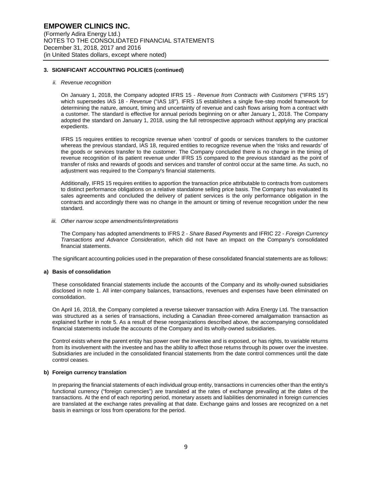#### *ii. Revenue recognition*

On January 1, 2018, the Company adopted IFRS 15 - *Revenue from Contracts with Customers* ("IFRS 15") which supersedes IAS 18 - *Revenue* ("IAS 18"). IFRS 15 establishes a single five-step model framework for determining the nature, amount, timing and uncertainty of revenue and cash flows arising from a contract with a customer. The standard is effective for annual periods beginning on or after January 1, 2018. The Company adopted the standard on January 1, 2018, using the full retrospective approach without applying any practical expedients.

IFRS 15 requires entities to recognize revenue when 'control' of goods or services transfers to the customer whereas the previous standard, IAS 18, required entities to recognize revenue when the 'risks and rewards' of the goods or services transfer to the customer. The Company concluded there is no change in the timing of revenue recognition of its patient revenue under IFRS 15 compared to the previous standard as the point of transfer of risks and rewards of goods and services and transfer of control occur at the same time. As such, no adjustment was required to the Company's financial statements.

Additionally, IFRS 15 requires entities to apportion the transaction price attributable to contracts from customers to distinct performance obligations on a relative standalone selling price basis. The Company has evaluated its sales agreements and concluded the delivery of patient services is the only performance obligation in the contracts and accordingly there was no change in the amount or timing of revenue recognition under the new standard.

#### *iii. Other narrow scope amendments/interpretations*

The Company has adopted amendments to IFRS 2 - *Share Based Payments* and IFRIC 22 - *Foreign Currency Transactions and Advance Consideration*, which did not have an impact on the Company's consolidated financial statements.

The significant accounting policies used in the preparation of these consolidated financial statements are as follows:

#### **a) Basis of consolidation**

These consolidated financial statements include the accounts of the Company and its wholly-owned subsidiaries disclosed in note 1. All inter-company balances, transactions, revenues and expenses have been eliminated on consolidation.

On April 16, 2018, the Company completed a reverse takeover transaction with Adira Energy Ltd. The transaction was structured as a series of transactions, including a Canadian three-cornered amalgamation transaction as explained further in note 5. As a result of these reorganizations described above, the accompanying consolidated financial statements include the accounts of the Company and its wholly-owned subsidiaries.

Control exists where the parent entity has power over the investee and is exposed, or has rights, to variable returns from its involvement with the investee and has the ability to affect those returns through its power over the investee. Subsidiaries are included in the consolidated financial statements from the date control commences until the date control ceases.

#### **b) Foreign currency translation**

In preparing the financial statements of each individual group entity, transactions in currencies other than the entity's functional currency ("foreign currencies") are translated at the rates of exchange prevailing at the dates of the transactions. At the end of each reporting period, monetary assets and liabilities denominated in foreign currencies are translated at the exchange rates prevailing at that date. Exchange gains and losses are recognized on a net basis in earnings or loss from operations for the period.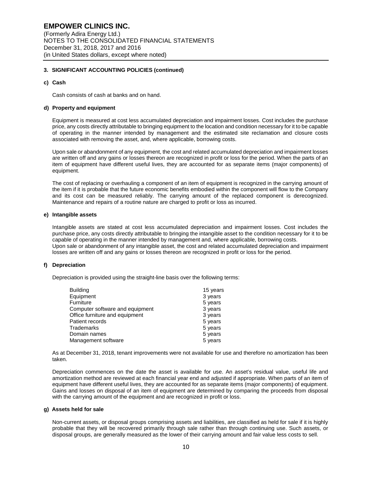### **c) Cash**

Cash consists of cash at banks and on hand.

#### **d) Property and equipment**

Equipment is measured at cost less accumulated depreciation and impairment losses. Cost includes the purchase price, any costs directly attributable to bringing equipment to the location and condition necessary for it to be capable of operating in the manner intended by management and the estimated site reclamation and closure costs associated with removing the asset, and, where applicable, borrowing costs.

Upon sale or abandonment of any equipment, the cost and related accumulated depreciation and impairment losses are written off and any gains or losses thereon are recognized in profit or loss for the period. When the parts of an item of equipment have different useful lives, they are accounted for as separate items (major components) of equipment.

The cost of replacing or overhauling a component of an item of equipment is recognized in the carrying amount of the item if it is probable that the future economic benefits embodied within the component will flow to the Company and its cost can be measured reliably. The carrying amount of the replaced component is derecognized. Maintenance and repairs of a routine nature are charged to profit or loss as incurred.

#### **e) Intangible assets**

Intangible assets are stated at cost less accumulated depreciation and impairment losses. Cost includes the purchase price, any costs directly attributable to bringing the intangible asset to the condition necessary for it to be capable of operating in the manner intended by management and, where applicable, borrowing costs. Upon sale or abandonment of any intangible asset, the cost and related accumulated depreciation and impairment losses are written off and any gains or losses thereon are recognized in profit or loss for the period.

# **f) Depreciation**

Depreciation is provided using the straight-line basis over the following terms:

| <b>Building</b>                 | 15 years |
|---------------------------------|----------|
| Equipment                       | 3 years  |
| Furniture                       | 5 years  |
| Computer software and equipment | 3 years  |
| Office furniture and equipment  | 3 years  |
| Patient records                 | 5 years  |
| <b>Trademarks</b>               | 5 years  |
| Domain names                    | 5 years  |
| Management software             | 5 years  |

As at December 31, 2018, tenant improvements were not available for use and therefore no amortization has been taken.

Depreciation commences on the date the asset is available for use. An asset's residual value, useful life and amortization method are reviewed at each financial year end and adjusted if appropriate. When parts of an item of equipment have different useful lives, they are accounted for as separate items (major components) of equipment. Gains and losses on disposal of an item of equipment are determined by comparing the proceeds from disposal with the carrying amount of the equipment and are recognized in profit or loss.

#### **g) Assets held for sale**

Non-current assets, or disposal groups comprising assets and liabilities, are classified as held for sale if it is highly probable that they will be recovered primarily through sale rather than through continuing use. Such assets, or disposal groups, are generally measured as the lower of their carrying amount and fair value less costs to sell.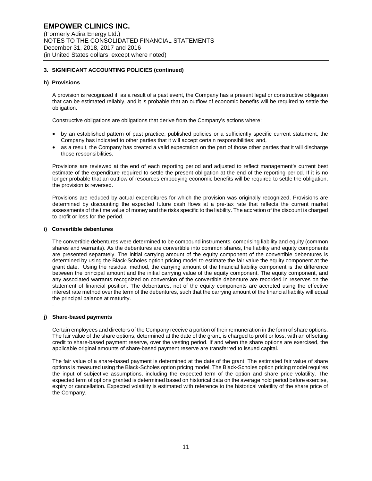### **h) Provisions**

A provision is recognized if, as a result of a past event, the Company has a present legal or constructive obligation that can be estimated reliably, and it is probable that an outflow of economic benefits will be required to settle the obligation.

Constructive obligations are obligations that derive from the Company's actions where:

- by an established pattern of past practice, published policies or a sufficiently specific current statement, the Company has indicated to other parties that it will accept certain responsibilities; and,
- as a result, the Company has created a valid expectation on the part of those other parties that it will discharge those responsibilities.

Provisions are reviewed at the end of each reporting period and adjusted to reflect management's current best estimate of the expenditure required to settle the present obligation at the end of the reporting period. If it is no longer probable that an outflow of resources embodying economic benefits will be required to settle the obligation, the provision is reversed.

Provisions are reduced by actual expenditures for which the provision was originally recognized. Provisions are determined by discounting the expected future cash flows at a pre-tax rate that reflects the current market assessments of the time value of money and the risks specific to the liability. The accretion of the discount is charged to profit or loss for the period.

#### **i) Convertible debentures**

The convertible debentures were determined to be compound instruments, comprising liability and equity (common shares and warrants). As the debentures are convertible into common shares, the liability and equity components are presented separately. The initial carrying amount of the equity component of the convertible debentures is determined by using the Black-Scholes option pricing model to estimate the fair value the equity component at the grant date. Using the residual method, the carrying amount of the financial liability component is the difference between the principal amount and the initial carrying value of the equity component. The equity component, and any associated warrants recognized on conversion of the convertible debenture are recorded in reserves on the statement of financial position. The debentures, net of the equity components are accreted using the effective interest rate method over the term of the debentures, such that the carrying amount of the financial liability will equal the principal balance at maturity.

# **j) Share-based payments**

.

Certain employees and directors of the Company receive a portion of their remuneration in the form of share options. The fair value of the share options, determined at the date of the grant, is charged to profit or loss, with an offsetting credit to share-based payment reserve, over the vesting period. If and when the share options are exercised, the applicable original amounts of share-based payment reserve are transferred to issued capital.

The fair value of a share-based payment is determined at the date of the grant. The estimated fair value of share options is measured using the Black-Scholes option pricing model. The Black-Scholes option pricing model requires the input of subjective assumptions, including the expected term of the option and share price volatility. The expected term of options granted is determined based on historical data on the average hold period before exercise, expiry or cancellation. Expected volatility is estimated with reference to the historical volatility of the share price of the Company.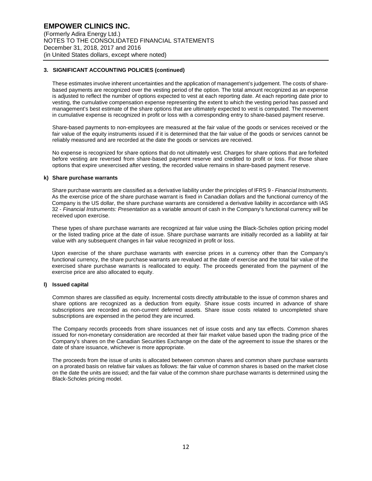These estimates involve inherent uncertainties and the application of management's judgement. The costs of sharebased payments are recognized over the vesting period of the option. The total amount recognized as an expense is adjusted to reflect the number of options expected to vest at each reporting date. At each reporting date prior to vesting, the cumulative compensation expense representing the extent to which the vesting period has passed and management's best estimate of the share options that are ultimately expected to vest is computed. The movement in cumulative expense is recognized in profit or loss with a corresponding entry to share-based payment reserve.

Share-based payments to non-employees are measured at the fair value of the goods or services received or the fair value of the equity instruments issued if it is determined that the fair value of the goods or services cannot be reliably measured and are recorded at the date the goods or services are received.

No expense is recognized for share options that do not ultimately vest. Charges for share options that are forfeited before vesting are reversed from share-based payment reserve and credited to profit or loss. For those share options that expire unexercised after vesting, the recorded value remains in share-based payment reserve.

#### **k) Share purchase warrants**

Share purchase warrants are classified as a derivative liability under the principles of IFRS 9 - *Financial Instruments*. As the exercise price of the share purchase warrant is fixed in Canadian dollars and the functional currency of the Company is the US dollar, the share purchase warrants are considered a derivative liability in accordance with IAS 32 - *Financial Instruments: Presentation* as a variable amount of cash in the Company's functional currency will be received upon exercise.

These types of share purchase warrants are recognized at fair value using the Black-Scholes option pricing model or the listed trading price at the date of issue. Share purchase warrants are initially recorded as a liability at fair value with any subsequent changes in fair value recognized in profit or loss.

Upon exercise of the share purchase warrants with exercise prices in a currency other than the Company's functional currency, the share purchase warrants are revalued at the date of exercise and the total fair value of the exercised share purchase warrants is reallocated to equity. The proceeds generated from the payment of the exercise price are also allocated to equity.

# **l) Issued capital**

Common shares are classified as equity. Incremental costs directly attributable to the issue of common shares and share options are recognized as a deduction from equity. Share issue costs incurred in advance of share subscriptions are recorded as non-current deferred assets. Share issue costs related to uncompleted share subscriptions are expensed in the period they are incurred.

The Company records proceeds from share issuances net of issue costs and any tax effects. Common shares issued for non-monetary consideration are recorded at their fair market value based upon the trading price of the Company's shares on the Canadian Securities Exchange on the date of the agreement to issue the shares or the date of share issuance, whichever is more appropriate.

The proceeds from the issue of units is allocated between common shares and common share purchase warrants on a prorated basis on relative fair values as follows: the fair value of common shares is based on the market close on the date the units are issued; and the fair value of the common share purchase warrants is determined using the Black-Scholes pricing model.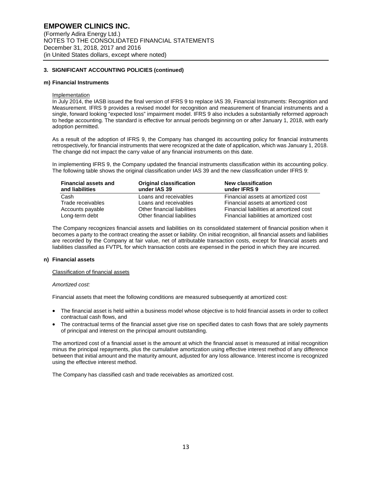#### **m) Financial Instruments**

#### Implementation

In July 2014, the IASB issued the final version of IFRS 9 to replace IAS 39, Financial Instruments: Recognition and Measurement. IFRS 9 provides a revised model for recognition and measurement of financial instruments and a single, forward looking "expected loss" impairment model. IFRS 9 also includes a substantially reformed approach to hedge accounting. The standard is effective for annual periods beginning on or after January 1, 2018, with early adoption permitted.

As a result of the adoption of IFRS 9, the Company has changed its accounting policy for financial instruments retrospectively, for financial instruments that were recognized at the date of application, which was January 1, 2018. The change did not impact the carry value of any financial instruments on this date.

In implementing IFRS 9, the Company updated the financial instruments classification within its accounting policy. The following table shows the original classification under IAS 39 and the new classification under IFRS 9:

| <b>Financial assets and</b><br>and liabilities | <b>Original classification</b><br>under IAS 39 | New classification<br>under IFRS 9      |
|------------------------------------------------|------------------------------------------------|-----------------------------------------|
| Cash                                           | Loans and receivables                          | Financial assets at amortized cost      |
| Trade receivables                              | Loans and receivables                          | Financial assets at amortized cost      |
| Accounts payable                               | Other financial liabilities                    | Financial liabilities at amortized cost |
| Long-term debt                                 | Other financial liabilities                    | Financial liabilities at amortized cost |

The Company recognizes financial assets and liabilities on its consolidated statement of financial position when it becomes a party to the contract creating the asset or liability. On initial recognition, all financial assets and liabilities are recorded by the Company at fair value, net of attributable transaction costs, except for financial assets and liabilities classified as FVTPL for which transaction costs are expensed in the period in which they are incurred.

# **n) Financial assets**

Classification of financial assets

# *Amortized cost:*

Financial assets that meet the following conditions are measured subsequently at amortized cost:

- The financial asset is held within a business model whose objective is to hold financial assets in order to collect contractual cash flows, and
- The contractual terms of the financial asset give rise on specified dates to cash flows that are solely payments of principal and interest on the principal amount outstanding.

The amortized cost of a financial asset is the amount at which the financial asset is measured at initial recognition minus the principal repayments, plus the cumulative amortization using effective interest method of any difference between that initial amount and the maturity amount, adjusted for any loss allowance. Interest income is recognized using the effective interest method.

The Company has classified cash and trade receivables as amortized cost.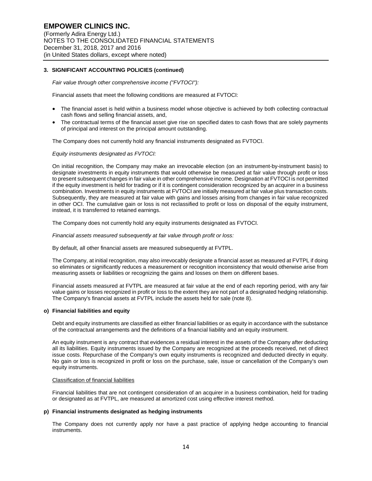*Fair value through other comprehensive income ("FVTOCI"):* 

Financial assets that meet the following conditions are measured at FVTOCI:

- The financial asset is held within a business model whose objective is achieved by both collecting contractual cash flows and selling financial assets, and,
- The contractual terms of the financial asset give rise on specified dates to cash flows that are solely payments of principal and interest on the principal amount outstanding.

The Company does not currently hold any financial instruments designated as FVTOCI.

#### *Equity instruments designated as FVTOCI:*

On initial recognition, the Company may make an irrevocable election (on an instrument-by-instrument basis) to designate investments in equity instruments that would otherwise be measured at fair value through profit or loss to present subsequent changes in fair value in other comprehensive income. Designation at FVTOCI is not permitted if the equity investment is held for trading or if it is contingent consideration recognized by an acquirer in a business combination. Investments in equity instruments at FVTOCI are initially measured at fair value plus transaction costs. Subsequently, they are measured at fair value with gains and losses arising from changes in fair value recognized in other OCI. The cumulative gain or loss is not reclassified to profit or loss on disposal of the equity instrument, instead, it is transferred to retained earnings.

The Company does not currently hold any equity instruments designated as FVTOCI.

*Financial assets measured subsequently at fair value through profit or loss:* 

By default, all other financial assets are measured subsequently at FVTPL.

The Company, at initial recognition, may also irrevocably designate a financial asset as measured at FVTPL if doing so eliminates or significantly reduces a measurement or recognition inconsistency that would otherwise arise from measuring assets or liabilities or recognizing the gains and losses on them on different bases.

Financial assets measured at FVTPL are measured at fair value at the end of each reporting period, with any fair value gains or losses recognized in profit or loss to the extent they are not part of a designated hedging relationship. The Company's financial assets at FVTPL include the assets held for sale (note 8).

# **o) Financial liabilities and equity**

Debt and equity instruments are classified as either financial liabilities or as equity in accordance with the substance of the contractual arrangements and the definitions of a financial liability and an equity instrument.

An equity instrument is any contract that evidences a residual interest in the assets of the Company after deducting all its liabilities. Equity instruments issued by the Company are recognized at the proceeds received, net of direct issue costs. Repurchase of the Company's own equity instruments is recognized and deducted directly in equity. No gain or loss is recognized in profit or loss on the purchase, sale, issue or cancellation of the Company's own equity instruments.

# Classification of financial liabilities

Financial liabilities that are not contingent consideration of an acquirer in a business combination, held for trading or designated as at FVTPL, are measured at amortized cost using effective interest method.

#### **p) Financial instruments designated as hedging instruments**

The Company does not currently apply nor have a past practice of applying hedge accounting to financial instruments.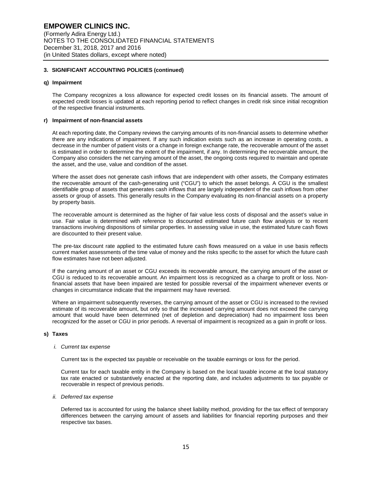#### **q) Impairment**

The Company recognizes a loss allowance for expected credit losses on its financial assets. The amount of expected credit losses is updated at each reporting period to reflect changes in credit risk since initial recognition of the respective financial instruments.

#### **r) Impairment of non-financial assets**

At each reporting date, the Company reviews the carrying amounts of its non-financial assets to determine whether there are any indications of impairment. If any such indication exists such as an increase in operating costs, a decrease in the number of patient visits or a change in foreign exchange rate, the recoverable amount of the asset is estimated in order to determine the extent of the impairment, if any. In determining the recoverable amount, the Company also considers the net carrying amount of the asset, the ongoing costs required to maintain and operate the asset, and the use, value and condition of the asset.

Where the asset does not generate cash inflows that are independent with other assets, the Company estimates the recoverable amount of the cash-generating unit ("CGU") to which the asset belongs. A CGU is the smallest identifiable group of assets that generates cash inflows that are largely independent of the cash inflows from other assets or group of assets. This generally results in the Company evaluating its non-financial assets on a property by property basis.

The recoverable amount is determined as the higher of fair value less costs of disposal and the asset's value in use. Fair value is determined with reference to discounted estimated future cash flow analysis or to recent transactions involving dispositions of similar properties. In assessing value in use, the estimated future cash flows are discounted to their present value.

The pre-tax discount rate applied to the estimated future cash flows measured on a value in use basis reflects current market assessments of the time value of money and the risks specific to the asset for which the future cash flow estimates have not been adjusted.

If the carrying amount of an asset or CGU exceeds its recoverable amount, the carrying amount of the asset or CGU is reduced to its recoverable amount. An impairment loss is recognized as a charge to profit or loss. Nonfinancial assets that have been impaired are tested for possible reversal of the impairment whenever events or changes in circumstance indicate that the impairment may have reversed.

Where an impairment subsequently reverses, the carrying amount of the asset or CGU is increased to the revised estimate of its recoverable amount, but only so that the increased carrying amount does not exceed the carrying amount that would have been determined (net of depletion and depreciation) had no impairment loss been recognized for the asset or CGU in prior periods. A reversal of impairment is recognized as a gain in profit or loss.

#### **s) Taxes**

#### *i. Current tax expense*

Current tax is the expected tax payable or receivable on the taxable earnings or loss for the period.

Current tax for each taxable entity in the Company is based on the local taxable income at the local statutory tax rate enacted or substantively enacted at the reporting date, and includes adjustments to tax payable or recoverable in respect of previous periods.

#### *ii. Deferred tax expense*

Deferred tax is accounted for using the balance sheet liability method, providing for the tax effect of temporary differences between the carrying amount of assets and liabilities for financial reporting purposes and their respective tax bases.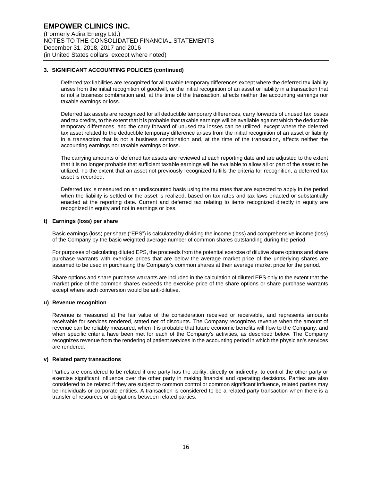Deferred tax liabilities are recognized for all taxable temporary differences except where the deferred tax liability arises from the initial recognition of goodwill, or the initial recognition of an asset or liability in a transaction that is not a business combination and, at the time of the transaction, affects neither the accounting earnings nor taxable earnings or loss.

Deferred tax assets are recognized for all deductible temporary differences, carry forwards of unused tax losses and tax credits, to the extent that it is probable that taxable earnings will be available against which the deductible temporary differences, and the carry forward of unused tax losses can be utilized, except where the deferred tax asset related to the deductible temporary difference arises from the initial recognition of an asset or liability in a transaction that is not a business combination and, at the time of the transaction, affects neither the accounting earnings nor taxable earnings or loss.

The carrying amounts of deferred tax assets are reviewed at each reporting date and are adjusted to the extent that it is no longer probable that sufficient taxable earnings will be available to allow all or part of the asset to be utilized. To the extent that an asset not previously recognized fulfills the criteria for recognition, a deferred tax asset is recorded.

Deferred tax is measured on an undiscounted basis using the tax rates that are expected to apply in the period when the liability is settled or the asset is realized, based on tax rates and tax laws enacted or substantially enacted at the reporting date. Current and deferred tax relating to items recognized directly in equity are recognized in equity and not in earnings or loss.

# **t) Earnings (loss) per share**

Basic earnings (loss) per share ("EPS") is calculated by dividing the income (loss) and comprehensive income (loss) of the Company by the basic weighted average number of common shares outstanding during the period.

For purposes of calculating diluted EPS, the proceeds from the potential exercise of dilutive share options and share purchase warrants with exercise prices that are below the average market price of the underlying shares are assumed to be used in purchasing the Company's common shares at their average market price for the period.

Share options and share purchase warrants are included in the calculation of diluted EPS only to the extent that the market price of the common shares exceeds the exercise price of the share options or share purchase warrants except where such conversion would be anti-dilutive.

# **u) Revenue recognition**

Revenue is measured at the fair value of the consideration received or receivable, and represents amounts receivable for services rendered, stated net of discounts. The Company recognizes revenue when the amount of revenue can be reliably measured, when it is probable that future economic benefits will flow to the Company, and when specific criteria have been met for each of the Company's activities, as described below. The Company recognizes revenue from the rendering of patient services in the accounting period in which the physician's services are rendered.

# **v) Related party transactions**

Parties are considered to be related if one party has the ability, directly or indirectly, to control the other party or exercise significant influence over the other party in making financial and operating decisions. Parties are also considered to be related if they are subject to common control or common significant influence, related parties may be individuals or corporate entities. A transaction is considered to be a related party transaction when there is a transfer of resources or obligations between related parties.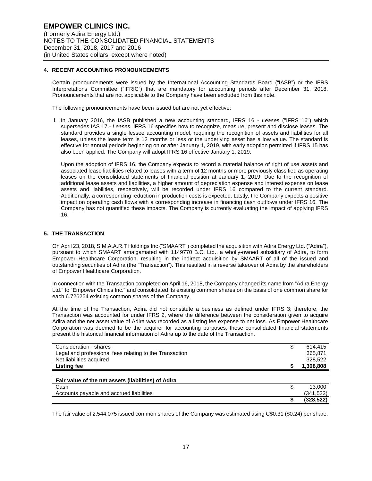# **4. RECENT ACCOUNTING PRONOUNCEMENTS**

Certain pronouncements were issued by the International Accounting Standards Board ("IASB") or the IFRS Interpretations Committee ("IFRIC") that are mandatory for accounting periods after December 31, 2018. Pronouncements that are not applicable to the Company have been excluded from this note.

The following pronouncements have been issued but are not yet effective:

i. In January 2016, the IASB published a new accounting standard, IFRS 16 - *Leases* ("IFRS 16") which supersedes IAS 17 - *Leases*. IFRS 16 specifies how to recognize, measure, present and disclose leases. The standard provides a single lessee accounting model, requiring the recognition of assets and liabilities for all leases, unless the lease term is 12 months or less or the underlying asset has a low value. The standard is effective for annual periods beginning on or after January 1, 2019, with early adoption permitted if IFRS 15 has also been applied. The Company will adopt IFRS 16 effective January 1, 2019.

Upon the adoption of IFRS 16, the Company expects to record a material balance of right of use assets and associated lease liabilities related to leases with a term of 12 months or more previously classified as operating leases on the consolidated statements of financial position at January 1, 2019. Due to the recognition of additional lease assets and liabilities, a higher amount of depreciation expense and interest expense on lease assets and liabilities, respectively, will be recorded under IFRS 16 compared to the current standard. Additionally, a corresponding reduction in production costs is expected. Lastly, the Company expects a positive impact on operating cash flows with a corresponding increase in financing cash outflows under IFRS 16. The Company has not quantified these impacts. The Company is currently evaluating the impact of applying IFRS 16.

# **5. THE TRANSACTION**

On April 23, 2018, S.M.A.A.R.T Holdings Inc ("SMAART") completed the acquisition with Adira Energy Ltd. ("Adira"), pursuant to which SMAART amalgamated with 1149770 B.C. Ltd., a wholly-owned subsidiary of Adira, to form Empower Healthcare Corporation, resulting in the indirect acquisition by SMAART of all of the issued and outstanding securities of Adira (the "Transaction"). This resulted in a reverse takeover of Adira by the shareholders of Empower Healthcare Corporation.

In connection with the Transaction completed on April 16, 2018, the Company changed its name from "Adira Energy Ltd." to "Empower Clinics Inc." and consolidated its existing common shares on the basis of one common share for each 6.726254 existing common shares of the Company.

At the time of the Transaction, Adira did not constitute a business as defined under IFRS 3; therefore, the Transaction was accounted for under IFRS 2, where the difference between the consideration given to acquire Adira and the net asset value of Adira was recorded as a listing fee expense to net loss. As Empower Healthcare Corporation was deemed to be the acquirer for accounting purposes, these consolidated financial statements present the historical financial information of Adira up to the date of the Transaction.

| Consideration - shares                                  |   | 614.415    |
|---------------------------------------------------------|---|------------|
| Legal and professional fees relating to the Transaction |   | 365.871    |
| Net liabilities acquired                                |   | 328,522    |
| <b>Listing fee</b>                                      |   | 1,308,808  |
|                                                         |   |            |
| Fair value of the net assets (liabilities) of Adira     |   |            |
| Cash                                                    | S | 13,000     |
| Accounts payable and accrued liabilities                |   | (341, 522) |
|                                                         |   | (328, 522) |

The fair value of 2,544,075 issued common shares of the Company was estimated using C\$0.31 (\$0.24) per share.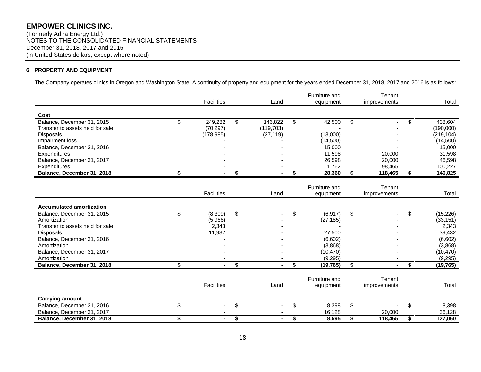(Formerly Adira Energy Ltd.) NOTES TO THE CONSOLIDATED FINANCIAL STATEMENTS December 31, 2018, 2017 and 2016 (in United States dollars, except where noted)

# **6. PROPERTY AND EQUIPMENT**

The Company operates clinics in Oregon and Washington State. A continuity of property and equipment for the years ended December 31, 2018, 2017 and 2016 is as follows:

|                                  |                      |                          | Furniture and   | Tenant               |                 |
|----------------------------------|----------------------|--------------------------|-----------------|----------------------|-----------------|
|                                  | Facilities           | Land                     | equipment       | improvements         | Total           |
|                                  |                      |                          |                 |                      |                 |
| Cost                             |                      |                          |                 |                      |                 |
| Balance, December 31, 2015       | \$<br>249,282        | \$<br>146,822            | \$<br>42,500    | \$                   | \$<br>438,604   |
| Transfer to assets held for sale | (70, 297)            | (119, 703)               |                 |                      | (190,000)       |
| Disposals                        | (178, 985)           | (27, 119)                | (13,000)        |                      | (219, 104)      |
| Impairment loss                  |                      |                          | (14,500)        |                      | (14,500)        |
| Balance, December 31, 2016       |                      |                          | 15,000          |                      | 15,000          |
| Expenditures                     |                      |                          | 11,598          | 20,000               | 31,598          |
| Balance, December 31, 2017       |                      |                          | 26,598          | 20.000               | 46,598          |
| Expenditures                     |                      |                          | 1.762           | 98,465               | 100,227         |
| Balance, December 31, 2018       | \$<br>$\blacksquare$ | \$<br>$\blacksquare$     | \$<br>28,360    | \$<br>118,465        | \$<br>146,825   |
|                                  |                      |                          |                 |                      |                 |
|                                  |                      |                          | Furniture and   | Tenant               |                 |
|                                  | Facilities           | Land                     | equipment       | improvements         | Total           |
|                                  |                      |                          |                 |                      |                 |
| <b>Accumulated amortization</b>  |                      |                          |                 |                      |                 |
| Balance, December 31, 2015       | \$<br>(8,309)        | \$                       | \$<br>(6, 917)  | \$                   | \$<br>(15, 226) |
| Amortization                     | (5,966)              |                          | (27, 185)       |                      | (33, 151)       |
| Transfer to assets held for sale | 2,343                |                          |                 |                      | 2,343           |
| Disposals                        | 11,932               |                          | 27,500          |                      | 39,432          |
| Balance, December 31, 2016       |                      |                          | (6,602)         |                      | (6,602)         |
| Amortization                     |                      |                          | (3,868)         |                      | (3,868)         |
| Balance, December 31, 2017       |                      |                          | (10, 470)       |                      | (10, 470)       |
| Amortization                     |                      |                          | (9,295)         |                      | (9, 295)        |
| Balance, December 31, 2018       | \$<br>$\blacksquare$ | \$<br>$\blacksquare$     | \$<br>(19, 765) | \$<br>$\blacksquare$ | \$<br>(19, 765) |
|                                  |                      |                          |                 |                      |                 |
|                                  |                      |                          | Furniture and   | Tenant               |                 |
|                                  | Facilities           | Land                     | equipment       | improvements         | Total           |
|                                  |                      |                          |                 |                      |                 |
| <b>Carrying amount</b>           |                      |                          |                 |                      |                 |
| Balance, December 31, 2016       | \$                   | \$<br>$\blacksquare$     | \$<br>8,398     | \$                   | \$<br>8,398     |
| Balance, December 31, 2017       |                      | $\overline{\phantom{a}}$ | 16,128          | 20,000               | 36,128          |
| Balance, December 31, 2018       | \$<br>$\blacksquare$ | \$<br>$\blacksquare$     | \$<br>8,595     | \$<br>118,465        | \$<br>127,060   |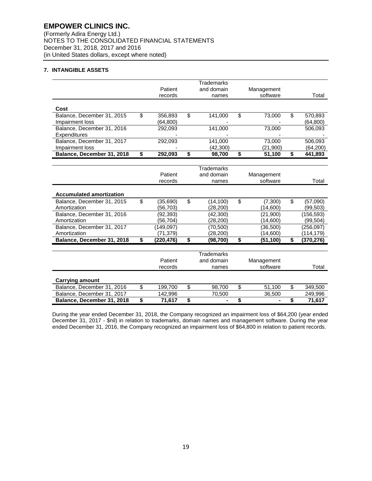(Formerly Adira Energy Ltd.) NOTES TO THE CONSOLIDATED FINANCIAL STATEMENTS December 31, 2018, 2017 and 2016 (in United States dollars, except where noted)

# **7. INTANGIBLE ASSETS**

|                                            | Patient          |                         | <b>Trademarks</b><br>and domain | Management             |                  |
|--------------------------------------------|------------------|-------------------------|---------------------------------|------------------------|------------------|
|                                            | records          |                         | names                           | software               | Total            |
|                                            |                  |                         |                                 |                        |                  |
| Cost                                       |                  |                         |                                 |                        |                  |
| Balance, December 31, 2015                 | \$<br>356,893    | \$                      | 141,000                         | \$<br>73,000           | \$<br>570,893    |
| Impairment loss                            | (64.800)         |                         |                                 |                        | (64, 800)        |
| Balance, December 31, 2016<br>Expenditures | 292,093          |                         | 141,000                         | 73,000                 | 506,093          |
| Balance, December 31, 2017                 | 292,093          |                         | 141,000                         | 73,000                 | 506,093          |
| Impairment loss                            |                  |                         | (42,300)                        | (21,900)               | (64, 200)        |
| Balance, December 31, 2018                 | \$<br>292,093    | \$                      | 98,700                          | \$<br>51,100           | \$<br>441,893    |
|                                            |                  |                         |                                 |                        |                  |
|                                            |                  |                         | <b>Trademarks</b>               |                        |                  |
|                                            | Patient          |                         | and domain                      | Management             |                  |
|                                            | records          |                         | names                           | software               | Total            |
| <b>Accumulated amortization</b>            |                  |                         |                                 |                        |                  |
| Balance, December 31, 2015                 | \$<br>(35,690)   | \$                      | (14, 100)                       | \$<br>(7,300)          | \$<br>(57,090)   |
| Amortization                               | (56,703)         |                         | (28,200)                        | (14,600)               | (99,503)         |
| Balance, December 31, 2016                 | (92,393)         |                         | (42,300)                        | (21,900)               | (156, 593)       |
| Amortization                               | (56,704)         |                         | (28, 200)                       | (14,600)               | (99, 504)        |
| Balance, December 31, 2017                 | (149,097)        |                         | (70, 500)                       | (36, 500)              | (256, 097)       |
| Amortization                               | (71,379)         |                         | (28, 200)                       | (14,600)               | (114,179)        |
| Balance, December 31, 2018                 | \$<br>(220, 476) | \$                      | (98, 700)                       | \$<br>(51, 100)        | \$<br>(370, 276) |
|                                            |                  |                         | <b>Trademarks</b>               |                        |                  |
|                                            | Patient          |                         | and domain                      |                        |                  |
|                                            | records          |                         |                                 | Management<br>software | Total            |
|                                            |                  |                         | names                           |                        |                  |
| <b>Carrying amount</b>                     |                  |                         |                                 |                        |                  |
| Balance, December 31, 2016                 | \$<br>199,700    | $\overline{\mathbf{S}}$ | 98,700                          | \$<br>51,100           | \$<br>349,500    |
| Balance, December 31, 2017                 | 142,996          |                         | 70,500                          | 36,500                 | 249,996          |
| Balance, December 31, 2018                 | \$<br>71,617     | \$                      | $\blacksquare$                  | \$<br>-                | \$<br>71,617     |

During the year ended December 31, 2018, the Company recognized an impairment loss of \$64,200 (year ended December 31, 2017 - \$nil) in relation to trademarks, domain names and management software. During the year ended December 31, 2016, the Company recognized an impairment loss of \$64,800 in relation to patient records.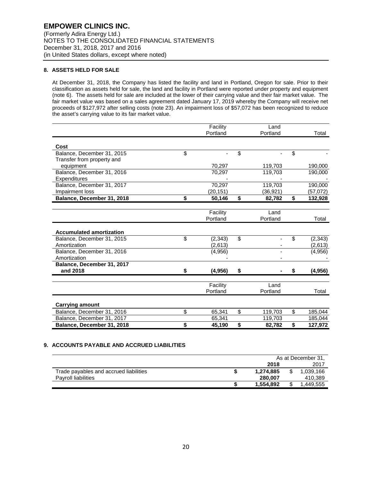# **8. ASSETS HELD FOR SALE**

At December 31, 2018, the Company has listed the facility and land in Portland, Oregon for sale. Prior to their classification as assets held for sale, the land and facility in Portland were reported under property and equipment (note 6). The assets held for sale are included at the lower of their carrying value and their fair market value. The fair market value was based on a sales agreement dated January 17, 2019 whereby the Company will receive net proceeds of \$127,972 after selling costs (note 23). An impairment loss of \$57,072 has been recognized to reduce the asset's carrying value to its fair market value.

|                                 | Facility       | Land          |                          |          |
|---------------------------------|----------------|---------------|--------------------------|----------|
|                                 | Portland       | Portland      |                          | Total    |
|                                 |                |               |                          |          |
| Cost                            |                |               |                          |          |
| Balance, December 31, 2015      | \$             | \$            | $\overline{\mathcal{S}}$ |          |
| Transfer from property and      |                |               |                          |          |
| equipment                       | 70,297         | 119,703       |                          | 190,000  |
| Balance, December 31, 2016      | 70,297         | 119,703       |                          | 190,000  |
| Expenditures                    |                |               |                          |          |
| Balance, December 31, 2017      | 70.297         | 119.703       |                          | 190,000  |
| Impairment loss                 | (20, 151)      | (36,921)      |                          | (57,072) |
| Balance, December 31, 2018      | \$<br>50,146   | \$<br>82,782  | \$                       | 132,928  |
|                                 |                |               |                          |          |
|                                 | Facility       | Land          |                          |          |
|                                 | Portland       | Portland      |                          | Total    |
| <b>Accumulated amortization</b> |                |               |                          |          |
| Balance, December 31, 2015      | \$<br>(2, 343) | \$            | \$                       | (2, 343) |
| Amortization                    | (2,613)        |               |                          | (2,613)  |
| Balance, December 31, 2016      | (4,956)        |               |                          | (4,956)  |
| Amortization                    |                |               |                          |          |
| Balance, December 31, 2017      |                |               |                          |          |
| and 2018                        | \$<br>(4,956)  | \$            | \$                       | (4, 956) |
|                                 |                |               |                          |          |
|                                 | Facility       | Land          |                          |          |
|                                 | Portland       | Portland      |                          | Total    |
|                                 |                |               |                          |          |
| <b>Carrying amount</b>          |                |               |                          |          |
| Balance, December 31, 2016      | \$<br>65,341   | \$<br>119,703 | \$                       | 185,044  |
| Balance, December 31, 2017      | 65,341         | 119,703       |                          | 185,044  |
| Balance, December 31, 2018      | \$<br>45,190   | \$<br>82,782  | \$                       | 127,972  |

# **9. ACCOUNTS PAYABLE AND ACCRUED LIABILITIES**

|                                        | As at December 31, |  |           |  |  |
|----------------------------------------|--------------------|--|-----------|--|--|
|                                        | 2018               |  | 2017      |  |  |
| Trade payables and accrued liabilities | 1.274.885          |  | 1,039,166 |  |  |
| <b>Pavroll liabilities</b>             | 280,007            |  | 410,389   |  |  |
|                                        | 1.554.892          |  | 1.449.555 |  |  |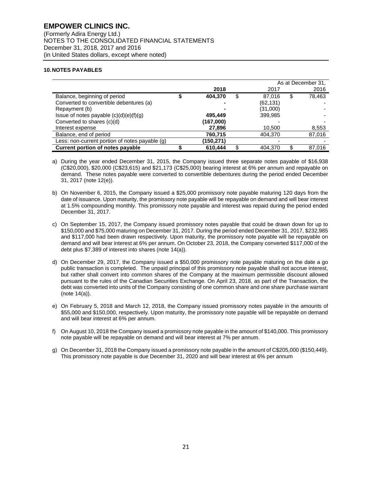# **10. NOTES PAYABLES**

|                                                | 2018      | 2017          |    | As at December 31,<br>2016 |
|------------------------------------------------|-----------|---------------|----|----------------------------|
| Balance, beginning of period                   | 404,370   | \$<br>87.016  | \$ | 78,463                     |
| Converted to convertible debentures (a)        |           | (62, 131)     |    |                            |
| Repayment (b)                                  |           | (31,000)      |    |                            |
| Issue of notes payable $(c)(d)(e)(f)(g)$       | 495.449   | 399,985       |    |                            |
| Converted to shares (c)(d)                     | (167,000) |               |    |                            |
| Interest expense                               | 27,896    | 10,500        |    | 8,553                      |
| Balance, end of period                         | 760,715   | 404,370       |    | 87,016                     |
| Less: non-current portion of notes payable (g) | (150,271) |               |    |                            |
| Current portion of notes payable               | 610,444   | \$<br>404.370 | S  | 87,016                     |

a) During the year ended December 31, 2015, the Company issued three separate notes payable of \$16,938 (C\$20,000), \$20,000 (C\$23,615) and \$21,173 (C\$25,000) bearing interest at 6% per annum and repayable on demand. These notes payable were converted to convertible debentures during the period ended December 31, 2017 (note 12(e)).

- b) On November 6, 2015, the Company issued a \$25,000 promissory note payable maturing 120 days from the date of issuance. Upon maturity, the promissory note payable will be repayable on demand and will bear interest at 1.5% compounding monthly. This promissory note payable and interest was repaid during the period ended December 31, 2017.
- c) On September 15, 2017, the Company issued promissory notes payable that could be drawn down for up to \$150,000 and \$75,000 maturing on December 31, 2017. During the period ended December 31, 2017, \$232,985 and \$117,000 had been drawn respectively. Upon maturity, the promissory note payable will be repayable on demand and will bear interest at 6% per annum. On October 23, 2018, the Company converted \$117,000 of the debt plus \$7,389 of interest into shares (note 14(a)).
- d) On December 29, 2017, the Company issued a \$50,000 promissory note payable maturing on the date a go public transaction is completed. The unpaid principal of this promissory note payable shall not accrue interest, but rather shall convert into common shares of the Company at the maximum permissible discount allowed pursuant to the rules of the Canadian Securities Exchange. On April 23, 2018, as part of the Transaction, the debt was converted into units of the Company consisting of one common share and one share purchase warrant (note 14(a)).
- e) On February 5, 2018 and March 12, 2018, the Company issued promissory notes payable in the amounts of \$55,000 and \$150,000, respectively. Upon maturity, the promissory note payable will be repayable on demand and will bear interest at 6% per annum.
- f) On August 10, 2018 the Company issued a promissory note payable in the amount of \$140,000. This promissory note payable will be repayable on demand and will bear interest at 7% per annum.
- g) On December 31, 2018 the Company issued a promissory note payable in the amount of C\$205,000 (\$150,449). This promissory note payable is due December 31, 2020 and will bear interest at 6% per annum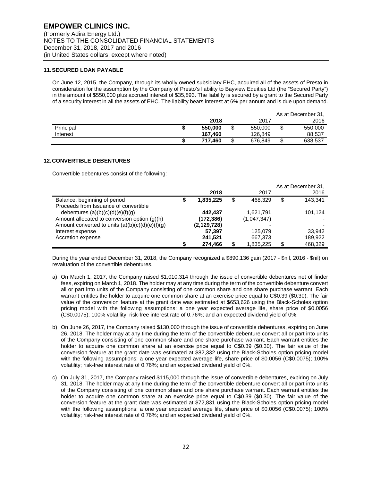### **11. SECURED LOAN PAYABLE**

On June 12, 2015, the Company, through its wholly owned subsidiary EHC, acquired all of the assets of Presto in consideration for the assumption by the Company of Presto's liability to Bayview Equities Ltd (the "Secured Party") in the amount of \$550,000 plus accrued interest of \$35,893. The liability is secured by a grant to the Secured Party of a security interest in all the assets of EHC. The liability bears interest at 6% per annum and is due upon demand.

|           |         |   |         | As at December 31, |
|-----------|---------|---|---------|--------------------|
|           | 2018    |   | 2017    | 2016               |
| Principal | 550,000 | J | 550,000 | \$<br>550,000      |
| Interest  | 167.460 |   | 126.849 | 88,537             |
|           | 717.460 |   | 676,849 | \$<br>638,537      |

### **12. CONVERTIBLE DEBENTURES**

Convertible debentures consist of the following:

|                                                   |               |               | As at December 31,       |
|---------------------------------------------------|---------------|---------------|--------------------------|
|                                                   | 2018          | 2017          | 2016                     |
| Balance, beginning of period                      | 1,835,225     | \$<br>468.329 | \$<br>143.341            |
| Proceeds from Issuance of convertible             |               |               |                          |
| debentures $(a)(b)(c)(d)(e)(f)(g)$                | 442.437       | 1,621,791     | 101,124                  |
| Amount allocated to conversion option (g)(h)      | (172, 386)    | (1,047,347)   |                          |
| Amount converted to units $(a)(b)(c)(d)(e)(f)(g)$ | (2, 129, 728) |               | $\overline{\phantom{0}}$ |
| Interest expense                                  | 57.397        | 125.079       | 33,942                   |
| Accretion expense                                 | 241,521       | 667,373       | 189,922                  |
|                                                   | 274.466       | 1.835.225     | \$<br>468.329            |

During the year ended December 31, 2018, the Company recognized a \$890,136 gain (2017 - \$nil, 2016 - \$nil) on revaluation of the convertible debentures.

- a) On March 1, 2017, the Company raised \$1,010,314 through the issue of convertible debentures net of finder fees, expiring on March 1, 2018. The holder may at any time during the term of the convertible debenture convert all or part into units of the Company consisting of one common share and one share purchase warrant. Each warrant entitles the holder to acquire one common share at an exercise price equal to C\$0.39 (\$0.30). The fair value of the conversion feature at the grant date was estimated at \$653,626 using the Black-Scholes option pricing model with the following assumptions: a one year expected average life, share price of \$0.0056 (C\$0.0075); 100% volatility; risk-free interest rate of 0.76%; and an expected dividend yield of 0%.
- b) On June 26, 2017, the Company raised \$130,000 through the issue of convertible debentures, expiring on June 26, 2018. The holder may at any time during the term of the convertible debenture convert all or part into units of the Company consisting of one common share and one share purchase warrant. Each warrant entitles the holder to acquire one common share at an exercise price equal to C\$0.39 (\$0.30). The fair value of the conversion feature at the grant date was estimated at \$82,332 using the Black-Scholes option pricing model with the following assumptions: a one year expected average life, share price of \$0.0056 (C\$0.0075); 100% volatility; risk-free interest rate of 0.76%; and an expected dividend yield of 0%.
- c) On July 31, 2017, the Company raised \$115,000 through the issue of convertible debentures, expiring on July 31, 2018. The holder may at any time during the term of the convertible debenture convert all or part into units of the Company consisting of one common share and one share purchase warrant. Each warrant entitles the holder to acquire one common share at an exercise price equal to C\$0.39 (\$0.30). The fair value of the conversion feature at the grant date was estimated at \$72,831 using the Black-Scholes option pricing model with the following assumptions: a one year expected average life, share price of \$0.0056 (C\$0.0075); 100% volatility; risk-free interest rate of 0.76%; and an expected dividend yield of 0%.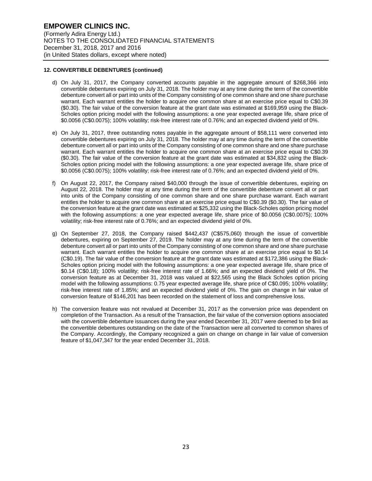# **12. CONVERTIBLE DEBENTURES (continued)**

- d) On July 31, 2017, the Company converted accounts payable in the aggregate amount of \$268,366 into convertible debentures expiring on July 31, 2018. The holder may at any time during the term of the convertible debenture convert all or part into units of the Company consisting of one common share and one share purchase warrant. Each warrant entitles the holder to acquire one common share at an exercise price equal to C\$0.39 (\$0.30). The fair value of the conversion feature at the grant date was estimated at \$169,959 using the Black-Scholes option pricing model with the following assumptions: a one year expected average life, share price of \$0.0056 (C\$0.0075); 100% volatility; risk-free interest rate of 0.76%; and an expected dividend yield of 0%.
- e) On July 31, 2017, three outstanding notes payable in the aggregate amount of \$58,111 were converted into convertible debentures expiring on July 31, 2018. The holder may at any time during the term of the convertible debenture convert all or part into units of the Company consisting of one common share and one share purchase warrant. Each warrant entitles the holder to acquire one common share at an exercise price equal to C\$0.39 (\$0.30). The fair value of the conversion feature at the grant date was estimated at \$34,832 using the Black-Scholes option pricing model with the following assumptions: a one year expected average life, share price of \$0.0056 (C\$0.0075); 100% volatility; risk-free interest rate of 0.76%; and an expected dividend yield of 0%.
- f) On August 22, 2017, the Company raised \$40,000 through the issue of convertible debentures, expiring on August 22, 2018. The holder may at any time during the term of the convertible debenture convert all or part into units of the Company consisting of one common share and one share purchase warrant. Each warrant entitles the holder to acquire one common share at an exercise price equal to C\$0.39 (\$0.30). The fair value of the conversion feature at the grant date was estimated at \$25,332 using the Black-Scholes option pricing model with the following assumptions: a one year expected average life, share price of \$0.0056 (C\$0.0075); 100% volatility; risk-free interest rate of 0.76%; and an expected dividend yield of 0%.
- g) On September 27, 2018, the Company raised \$442,437 (C\$575,060) through the issue of convertible debentures, expiring on September 27, 2019. The holder may at any time during the term of the convertible debenture convert all or part into units of the Company consisting of one common share and one share purchase warrant. Each warrant entitles the holder to acquire one common share at an exercise price equal to \$0.14 (C\$0.19). The fair value of the conversion feature at the grant date was estimated at \$172,386 using the Black-Scholes option pricing model with the following assumptions: a one year expected average life, share price of \$0.14 (C\$0.18); 100% volatility; risk-free interest rate of 1.66%; and an expected dividend yield of 0%. The conversion feature as at December 31, 2018 was valued at \$22,565 using the Black Scholes option pricing model with the following assumptions: 0.75 year expected average life, share price of C\$0.095; 100% volatility; risk-free interest rate of 1.85%; and an expected dividend yield of 0%. The gain on change in fair value of conversion feature of \$146,201 has been recorded on the statement of loss and comprehensive loss.
- h) The conversion feature was not revalued at December 31, 2017 as the conversion price was dependent on completion of the Transaction. As a result of the Transaction, the fair value of the conversion options associated with the convertible debenture issuances during the year ended December 31, 2017 were deemed to be \$nil as the convertible debentures outstanding on the date of the Transaction were all converted to common shares of the Company. Accordingly, the Company recognized a gain on change on change in fair value of conversion feature of \$1,047,347 for the year ended December 31, 2018.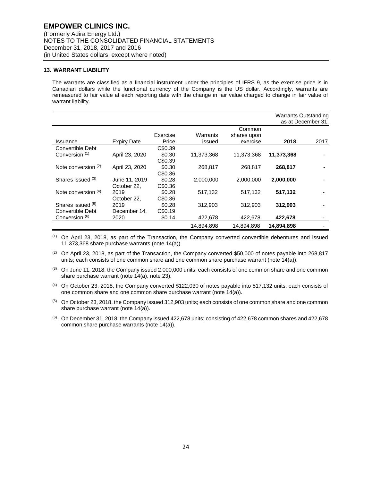### **13. WARRANT LIABILITY**

The warrants are classified as a financial instrument under the principles of IFRS 9, as the exercise price is in Canadian dollars while the functional currency of the Company is the US dollar. Accordingly, warrants are remeasured to fair value at each reporting date with the change in fair value charged to change in fair value of warrant liability.

|                           |                    |          |            |             | <b>Warrants Outstanding</b> | as at December 31. |
|---------------------------|--------------------|----------|------------|-------------|-----------------------------|--------------------|
|                           |                    |          |            | Common      |                             |                    |
|                           |                    | Exercise | Warrants   | shares upon |                             |                    |
| Issuance                  | <b>Expiry Date</b> | Price    | issued     | exercise    | 2018                        | 2017               |
| Convertible Debt          |                    | C\$0.39  |            |             |                             |                    |
| Conversion <sup>(1)</sup> | April 23, 2020     | \$0.30   | 11,373,368 | 11,373,368  | 11,373,368                  |                    |
|                           |                    | C\$0.39  |            |             |                             |                    |
| Note conversion $(2)$     | April 23, 2020     | \$0.30   | 268,817    | 268,817     | 268,817                     |                    |
|                           |                    | C\$0.36  |            |             |                             |                    |
| Shares issued (3)         | June 11, 2019      | \$0.28   | 2,000,000  | 2,000,000   | 2,000,000                   |                    |
|                           | October 22,        | C\$0.36  |            |             |                             |                    |
| Note conversion $(4)$     | 2019               | \$0.28   | 517,132    | 517,132     | 517,132                     |                    |
|                           | October 22,        | C\$0.36  |            |             |                             |                    |
| Shares issued (5)         | 2019               | \$0.28   | 312,903    | 312,903     | 312,903                     |                    |
| Convertible Debt          | December 14,       | C\$0.19  |            |             |                             |                    |
| Conversion (6)            | 2020               | \$0.14   | 422,678    | 422,678     | 422,678                     |                    |
|                           |                    |          | 14,894,898 | 14,894,898  | 14,894,898                  |                    |

(1) On April 23, 2018, as part of the Transaction, the Company converted convertible debentures and issued 11,373,368 share purchase warrants (note 14(a)).

 $(2)$  On April 23, 2018, as part of the Transaction, the Company converted \$50,000 of notes payable into 268,817 units; each consists of one common share and one common share purchase warrant (note 14(a)).

 $(3)$  On June 11, 2018, the Company issued 2,000,000 units; each consists of one common share and one common share purchase warrant (note 14(a), note 23).

(4) On October 23, 2018, the Company converted \$122,030 of notes payable into 517,132 units; each consists of one common share and one common share purchase warrant (note 14(a)).

(5) On October 23, 2018, the Company issued 312,903 units; each consists of one common share and one common share purchase warrant (note 14(a)).

 $(6)$  On December 31, 2018, the Company issued 422,678 units; consisting of 422,678 common shares and 422,678 common share purchase warrants (note 14(a)).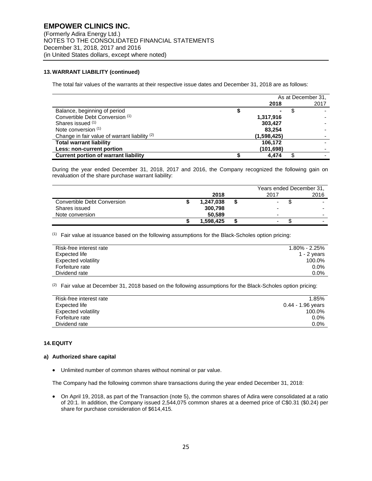# **13. WARRANT LIABILITY (continued)**

The total fair values of the warrants at their respective issue dates and December 31, 2018 are as follows:

|                                               | As at December 31, |  |      |
|-----------------------------------------------|--------------------|--|------|
|                                               | 2018               |  | 2017 |
| Balance, beginning of period                  |                    |  |      |
| Convertible Debt Conversion (1)               | 1,317,916          |  |      |
| Shares issued (1)                             | 303.427            |  |      |
| Note conversion (1)                           | 83.254             |  |      |
| Change in fair value of warrant liability (2) | (1,598,425)        |  |      |
| <b>Total warrant liability</b>                | 106,172            |  |      |
| Less: non-current portion                     | (101, 698)         |  |      |
| <b>Current portion of warrant liability</b>   | 4.474              |  |      |

During the year ended December 31, 2018, 2017 and 2016, the Company recognized the following gain on revaluation of the share purchase warrant liability:

|                                    | Years ended December 31. |  |              |    |                          |
|------------------------------------|--------------------------|--|--------------|----|--------------------------|
|                                    | 2018                     |  | 2016<br>2017 |    |                          |
| <b>Convertible Debt Conversion</b> | 1.247.038                |  | ۰            | ъD | $\overline{\phantom{0}}$ |
| Shares issued                      | 300.798                  |  |              |    | -                        |
| Note conversion                    | 50.589                   |  |              |    | $\overline{\phantom{0}}$ |
|                                    | 1.598.425                |  | -            |    | -                        |

 $<sup>(1)</sup>$  Fair value at issuance based on the following assumptions for the Black-Scholes option pricing:</sup>

| Risk-free interest rate | 1.80% - 2.25% |
|-------------------------|---------------|
| Expected life           | 1 - 2 years   |
| Expected volatility     | 100.0%        |
| Forfeiture rate         | $0.0\%$       |
| Dividend rate           | $0.0\%$       |

 $(2)$  Fair value at December 31, 2018 based on the following assumptions for the Black-Scholes option pricing:

| Risk-free interest rate | 1.85%             |
|-------------------------|-------------------|
| Expected life           | 0.44 - 1.96 years |
| Expected volatility     | 100.0%            |
| Forfeiture rate         | $0.0\%$           |
| Dividend rate           | $0.0\%$           |
|                         |                   |

#### **14. EQUITY**

#### **a) Authorized share capital**

Unlimited number of common shares without nominal or par value.

The Company had the following common share transactions during the year ended December 31, 2018:

 On April 19, 2018, as part of the Transaction (note 5), the common shares of Adira were consolidated at a ratio of 20:1. In addition, the Company issued 2,544,075 common shares at a deemed price of C\$0.31 (\$0.24) per share for purchase consideration of \$614,415.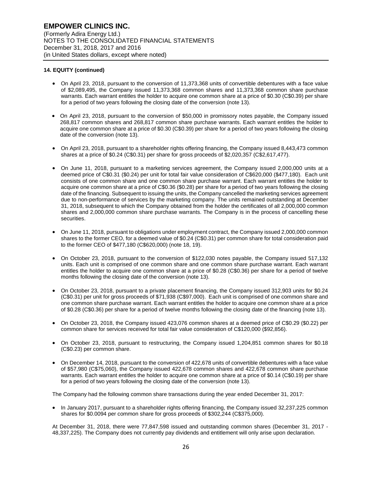# **14. EQUITY (continued)**

- On April 23, 2018, pursuant to the conversion of 11,373,368 units of convertible debentures with a face value of \$2,089,495, the Company issued 11,373,368 common shares and 11,373,368 common share purchase warrants. Each warrant entitles the holder to acquire one common share at a price of \$0.30 (C\$0.39) per share for a period of two years following the closing date of the conversion (note 13).
- On April 23, 2018, pursuant to the conversion of \$50,000 in promissory notes payable, the Company issued 268,817 common shares and 268,817 common share purchase warrants. Each warrant entitles the holder to acquire one common share at a price of \$0.30 (C\$0.39) per share for a period of two years following the closing date of the conversion (note 13).
- On April 23, 2018, pursuant to a shareholder rights offering financing, the Company issued 8,443,473 common shares at a price of \$0.24 (C\$0.31) per share for gross proceeds of \$2,020,357 (C\$2,617,477).
- On June 11, 2018, pursuant to a marketing services agreement, the Company issued 2,000,000 units at a deemed price of C\$0.31 (\$0.24) per unit for total fair value consideration of C\$620,000 (\$477,180). Each unit consists of one common share and one common share purchase warrant. Each warrant entitles the holder to acquire one common share at a price of C\$0.36 (\$0.28) per share for a period of two years following the closing date of the financing. Subsequent to issuing the units, the Company cancelled the marketing services agreement due to non-performance of services by the marketing company. The units remained outstanding at December 31, 2018, subsequent to which the Company obtained from the holder the certificates of all 2,000,000 common shares and 2,000,000 common share purchase warrants. The Company is in the process of cancelling these securities.
- On June 11, 2018, pursuant to obligations under employment contract, the Company issued 2,000,000 common shares to the former CEO, for a deemed value of \$0.24 (C\$0.31) per common share for total consideration paid to the former CEO of \$477,180 (C\$620,000) (note 18, 19).
- On October 23, 2018, pursuant to the conversion of \$122,030 notes payable, the Company issued 517,132 units. Each unit is comprised of one common share and one common share purchase warrant. Each warrant entitles the holder to acquire one common share at a price of \$0.28 (C\$0.36) per share for a period of twelve months following the closing date of the conversion (note 13).
- On October 23, 2018, pursuant to a private placement financing, the Company issued 312,903 units for \$0.24 (C\$0.31) per unit for gross proceeds of \$71,938 (C\$97,000). Each unit is comprised of one common share and one common share purchase warrant. Each warrant entitles the holder to acquire one common share at a price of \$0.28 (C\$0.36) per share for a period of twelve months following the closing date of the financing (note 13).
- On October 23, 2018, the Company issued 423,076 common shares at a deemed price of C\$0.29 (\$0.22) per common share for services received for total fair value consideration of C\$120,000 (\$92,856).
- On October 23, 2018, pursuant to restructuring, the Company issued 1,204,851 common shares for \$0.18 (C\$0.23) per common share.
- On December 14, 2018, pursuant to the conversion of 422,678 units of convertible debentures with a face value of \$57,980 (C\$75,060), the Company issued 422,678 common shares and 422,678 common share purchase warrants. Each warrant entitles the holder to acquire one common share at a price of \$0.14 (C\$0.19) per share for a period of two years following the closing date of the conversion (note 13).

The Company had the following common share transactions during the year ended December 31, 2017:

• In January 2017, pursuant to a shareholder rights offering financing, the Company issued 32,237,225 common shares for \$0.0094 per common share for gross proceeds of \$302,244 (C\$375,000).

At December 31, 2018, there were 77,847,598 issued and outstanding common shares (December 31, 2017 - 48,337,225). The Company does not currently pay dividends and entitlement will only arise upon declaration.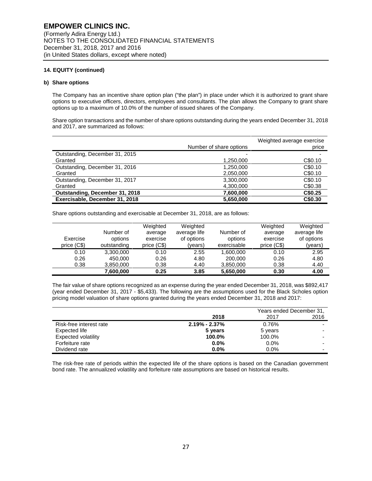# **14. EQUITY (continued)**

#### **b) Share options**

The Company has an incentive share option plan ("the plan") in place under which it is authorized to grant share options to executive officers, directors, employees and consultants. The plan allows the Company to grant share options up to a maximum of 10.0% of the number of issued shares of the Company.

Share option transactions and the number of share options outstanding during the years ended December 31, 2018 and 2017, are summarized as follows:

|                                | Number of share options | Weighted average exercise<br>price |
|--------------------------------|-------------------------|------------------------------------|
| Outstanding, December 31, 2015 |                         |                                    |
| Granted                        | 1,250,000               | C\$0.10                            |
| Outstanding, December 31, 2016 | 1,250,000               | C\$0.10                            |
| Granted                        | 2,050,000               | C\$0.10                            |
| Outstanding, December 31, 2017 | 3,300,000               | C\$0.10                            |
| Granted                        | 4,300,000               | C\$0.38                            |
| Outstanding, December 31, 2018 | 7,600,000               | C\$0.25                            |
| Exercisable, December 31, 2018 | 5,650,000               | C\$0.30                            |

Share options outstanding and exercisable at December 31, 2018, are as follows:

| Exercise<br>price $(C$)$ | Number of<br>options<br>outstanding | Weighted<br>average<br>exercise<br>price $(C$)$ | Weighted<br>average life<br>of options<br>(years) | Number of<br>options<br>exercisable | Weighted<br>average<br>exercise<br>price (C\$) | Weighted<br>average life<br>of options<br>(years) |
|--------------------------|-------------------------------------|-------------------------------------------------|---------------------------------------------------|-------------------------------------|------------------------------------------------|---------------------------------------------------|
| 0.10                     | 3.300.000                           | 0.10                                            | 2.55                                              | 1.600.000                           | 0.10                                           | 2.95                                              |
| 0.26                     | 450,000                             | 0.26                                            | 4.80                                              | 200,000                             | 0.26                                           | 4.80                                              |
| 0.38                     | 3,850,000                           | 0.38                                            | 4.40                                              | 3,850,000                           | 0.38                                           | 4.40                                              |
|                          | 7,600,000                           | 0.25                                            | 3.85                                              | 5,650,000                           | 0.30                                           | 4.00                                              |

The fair value of share options recognized as an expense during the year ended December 31, 2018, was \$892,417 (year ended December 31, 2017 - \$5,433). The following are the assumptions used for the Black Scholes option pricing model valuation of share options granted during the years ended December 31, 2018 and 2017:

|                         |                   | Years ended December 31, |                          |  |
|-------------------------|-------------------|--------------------------|--------------------------|--|
|                         | 2018              | 2017                     | 2016                     |  |
| Risk-free interest rate | $2.19\% - 2.37\%$ | 0.76%                    |                          |  |
| Expected life           | 5 years           | 5 years                  | $\overline{\phantom{0}}$ |  |
| Expected volatility     | 100.0%            | 100.0%                   | -                        |  |
| Forfeiture rate         | $0.0\%$           | $0.0\%$                  |                          |  |
| Dividend rate           | $0.0\%$           | $0.0\%$                  | $\overline{\phantom{0}}$ |  |

The risk-free rate of periods within the expected life of the share options is based on the Canadian government bond rate. The annualized volatility and forfeiture rate assumptions are based on historical results.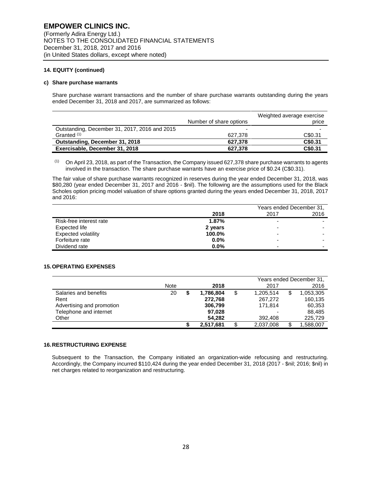### **14. EQUITY (continued)**

#### **c) Share purchase warrants**

Share purchase warrant transactions and the number of share purchase warrants outstanding during the years ended December 31, 2018 and 2017, are summarized as follows:

|                                               |                         | Weighted average exercise |
|-----------------------------------------------|-------------------------|---------------------------|
|                                               | Number of share options | price                     |
| Outstanding, December 31, 2017, 2016 and 2015 |                         | ۰                         |
| Granted <sup>(1)</sup>                        | 627.378                 | C\$0.31                   |
| Outstanding, December 31, 2018                | 627.378                 | C\$0.31                   |
| Exercisable, December 31, 2018                | 627.378                 | C\$0.31                   |

 $(1)$  On April 23, 2018, as part of the Transaction, the Company issued 627,378 share purchase warrants to agents involved in the transaction. The share purchase warrants have an exercise price of \$0.24 (C\$0.31).

The fair value of share purchase warrants recognized in reserves during the year ended December 31, 2018, was \$80,280 (year ended December 31, 2017 and 2016 - \$nil). The following are the assumptions used for the Black Scholes option pricing model valuation of share options granted during the years ended December 31, 2018, 2017 and 2016:

|                            |         | Years ended December 31. |      |  |
|----------------------------|---------|--------------------------|------|--|
|                            | 2018    | 2017                     | 2016 |  |
| Risk-free interest rate    | 1.87%   | -                        |      |  |
| Expected life              | 2 years | -                        |      |  |
| <b>Expected volatility</b> | 100.0%  |                          |      |  |
| Forfeiture rate            | $0.0\%$ |                          |      |  |
| Dividend rate              | $0.0\%$ |                          | -    |  |

# **15. OPERATING EXPENSES**

|                           |             |  |           | Years ended December 31, |           |           |
|---------------------------|-------------|--|-----------|--------------------------|-----------|-----------|
|                           | <b>Note</b> |  | 2018      |                          | 2017      | 2016      |
| Salaries and benefits     | 20          |  | 1,786,804 | \$                       | 1,205,514 | 1,053,305 |
| Rent                      |             |  | 272,768   |                          | 267,272   | 160,135   |
| Advertising and promotion |             |  | 306,799   |                          | 171.814   | 60,353    |
| Telephone and internet    |             |  | 97.028    |                          |           | 88.485    |
| Other                     |             |  | 54.282    |                          | 392,408   | 225,729   |
|                           |             |  | 2,517,681 | \$                       | 2,037,008 | 1,588,007 |

#### **16. RESTRUCTURING EXPENSE**

Subsequent to the Transaction, the Company initiated an organization-wide refocusing and restructuring. Accordingly, the Company incurred \$110,424 during the year ended December 31, 2018 (2017 - \$nil; 2016; \$nil) in net charges related to reorganization and restructuring.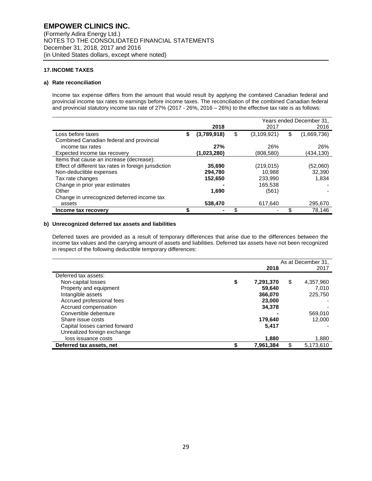# **17. INCOME TAXES**

### **a) Rate reconciliation**

Income tax expense differs from the amount that would result by applying the combined Canadian federal and provincial income tax rates to earnings before income taxes. The reconciliation of the combined Canadian federal and provincial statutory income tax rate of 27% (2017 - 26%, 2016 – 26%) to the effective tax rate is as follows:

|                                                       |                   | Years ended December 31, |    |             |  |  |
|-------------------------------------------------------|-------------------|--------------------------|----|-------------|--|--|
|                                                       | 2018              | 2017                     |    | 2016        |  |  |
| Loss before taxes                                     | \$<br>(3,789,918) | \$<br>(3,109,921)        | \$ | (1,669,736) |  |  |
| Combined Canadian federal and provincial              |                   |                          |    |             |  |  |
| income tax rates                                      | 27%               | 26%                      |    | 26%         |  |  |
| Expected income tax recovery                          | (1,023,280)       | (808,580)                |    | (434,130)   |  |  |
| Items that cause an increase (decrease):              |                   |                          |    |             |  |  |
| Effect of different tax rates in foreign jurisdiction | 35,690            | (219, 015)               |    | (52,060)    |  |  |
| Non-deductible expenses                               | 294,780           | 10.988                   |    | 32,390      |  |  |
| Tax rate changes                                      | 152,650           | 233,990                  |    | 1.834       |  |  |
| Change in prior year estimates                        |                   | 165,538                  |    |             |  |  |
| Other                                                 | 1,690             | (561)                    |    |             |  |  |
| Change in unrecognized deferred income tax            |                   |                          |    |             |  |  |
| assets                                                | 538,470           | 617.640                  |    | 295.670     |  |  |
| Income tax recovery                                   |                   |                          | c  | 78,146      |  |  |

#### **b) Unrecognized deferred tax assets and liabilities**

Deferred taxes are provided as a result of temporary differences that arise due to the differences between the income tax values and the carrying amount of assets and liabilities. Deferred tax assets have not been recognized in respect of the following deductible temporary differences:

|                                | As at December 31. |    |           |  |  |
|--------------------------------|--------------------|----|-----------|--|--|
|                                | 2018               |    | 2017      |  |  |
| Deferred tax assets:           |                    |    |           |  |  |
| Non-capital losses             | \$<br>7,291,370    | \$ | 4,357,960 |  |  |
| Property and equipment         | 59.640             |    | 7.010     |  |  |
| Intangible assets              | 366,070            |    | 225.750   |  |  |
| Accrued professional fees      | 23,000             |    |           |  |  |
| Accrued compensation           | 34,378             |    |           |  |  |
| Convertible debenture          |                    |    | 569,010   |  |  |
| Share issue costs              | 179,640            |    | 12,000    |  |  |
| Capital losses carried forward | 5,417              |    |           |  |  |
| Unrealized foreign exchange    |                    |    |           |  |  |
| loss issuance costs            | 1,880              |    | 1,880     |  |  |
| Deferred tax assets, net       | 7.961.384          |    | 5,173,610 |  |  |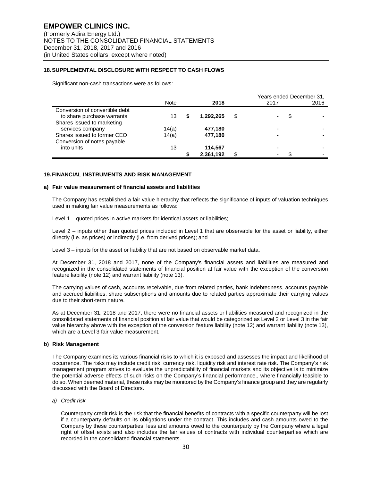# **18. SUPPLEMENTAL DISCLOSURE WITH RESPECT TO CASH FLOWS**

Significant non-cash transactions were as follows:

|                                                              |       |  |           |  | Years ended December 31, |   |      |
|--------------------------------------------------------------|-------|--|-----------|--|--------------------------|---|------|
|                                                              | Note  |  | 2018      |  | 2017                     |   | 2016 |
| Conversion of convertible debt<br>to share purchase warrants | 13    |  | 1,292,265 |  |                          | S |      |
| Shares issued to marketing<br>services company               | 14(a) |  | 477,180   |  |                          |   |      |
| Shares issued to former CEO<br>Conversion of notes payable   | 14(a) |  | 477,180   |  |                          |   |      |
| into units                                                   | 13    |  | 114,567   |  |                          |   |      |
|                                                              |       |  | 2,361,192 |  |                          |   |      |

# **19. FINANCIAL INSTRUMENTS AND RISK MANAGEMENT**

#### **a) Fair value measurement of financial assets and liabilities**

The Company has established a fair value hierarchy that reflects the significance of inputs of valuation techniques used in making fair value measurements as follows:

Level 1 – quoted prices in active markets for identical assets or liabilities;

Level 2 – inputs other than quoted prices included in Level 1 that are observable for the asset or liability, either directly (i.e. as prices) or indirectly (i.e. from derived prices); and

Level 3 – inputs for the asset or liability that are not based on observable market data.

At December 31, 2018 and 2017, none of the Company's financial assets and liabilities are measured and recognized in the consolidated statements of financial position at fair value with the exception of the conversion feature liability (note 12) and warrant liability (note 13).

The carrying values of cash, accounts receivable, due from related parties, bank indebtedness, accounts payable and accrued liabilities, share subscriptions and amounts due to related parties approximate their carrying values due to their short-term nature.

As at December 31, 2018 and 2017, there were no financial assets or liabilities measured and recognized in the consolidated statements of financial position at fair value that would be categorized as Level 2 or Level 3 in the fair value hierarchy above with the exception of the conversion feature liability (note 12) and warrant liability (note 13), which are a Level 3 fair value measurement.

# **b) Risk Management**

The Company examines its various financial risks to which it is exposed and assesses the impact and likelihood of occurrence. The risks may include credit risk, currency risk, liquidity risk and interest rate risk. The Company's risk management program strives to evaluate the unpredictability of financial markets and its objective is to minimize the potential adverse effects of such risks on the Company's financial performance., where financially feasible to do so. When deemed material, these risks may be monitored by the Company's finance group and they are regularly discussed with the Board of Directors.

#### *a) Credit risk*

Counterparty credit risk is the risk that the financial benefits of contracts with a specific counterparty will be lost if a counterparty defaults on its obligations under the contract. This includes and cash amounts owed to the Company by these counterparties, less and amounts owed to the counterparty by the Company where a legal right of offset exists and also includes the fair values of contracts with individual counterparties which are recorded in the consolidated financial statements.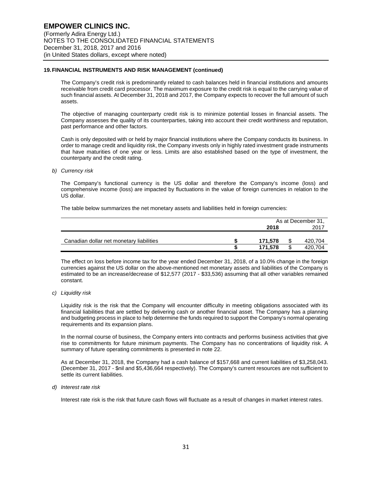# **19. FINANCIAL INSTRUMENTS AND RISK MANAGEMENT (continued)**

The Company's credit risk is predominantly related to cash balances held in financial institutions and amounts receivable from credit card processor. The maximum exposure to the credit risk is equal to the carrying value of such financial assets. At December 31, 2018 and 2017, the Company expects to recover the full amount of such assets.

The objective of managing counterparty credit risk is to minimize potential losses in financial assets. The Company assesses the quality of its counterparties, taking into account their credit worthiness and reputation, past performance and other factors.

Cash is only deposited with or held by major financial institutions where the Company conducts its business. In order to manage credit and liquidity risk, the Company invests only in highly rated investment grade instruments that have maturities of one year or less. Limits are also established based on the type of investment, the counterparty and the credit rating.

*b) Currency risk* 

The Company's functional currency is the US dollar and therefore the Company's income (loss) and comprehensive income (loss) are impacted by fluctuations in the value of foreign currencies in relation to the US dollar.

The table below summarizes the net monetary assets and liabilities held in foreign currencies:

|                                          | As at December 31, |   |         |  |
|------------------------------------------|--------------------|---|---------|--|
|                                          | 2017<br>2018       |   |         |  |
|                                          |                    |   |         |  |
| Canadian dollar net monetary liabilities | 171.578            | S | 420.704 |  |
|                                          | 171.578            |   | 420.704 |  |

The effect on loss before income tax for the year ended December 31, 2018, of a 10.0% change in the foreign currencies against the US dollar on the above-mentioned net monetary assets and liabilities of the Company is estimated to be an increase/decrease of \$12,577 (2017 - \$33,536) assuming that all other variables remained constant.

*c) Liquidity risk* 

Liquidity risk is the risk that the Company will encounter difficulty in meeting obligations associated with its financial liabilities that are settled by delivering cash or another financial asset. The Company has a planning and budgeting process in place to help determine the funds required to support the Company's normal operating requirements and its expansion plans.

In the normal course of business, the Company enters into contracts and performs business activities that give rise to commitments for future minimum payments. The Company has no concentrations of liquidity risk. A summary of future operating commitments is presented in note 22.

As at December 31, 2018, the Company had a cash balance of \$157,668 and current liabilities of \$3,258,043. (December 31, 2017 - \$nil and \$5,436,664 respectively). The Company's current resources are not sufficient to settle its current liabilities.

*d) Interest rate risk* 

Interest rate risk is the risk that future cash flows will fluctuate as a result of changes in market interest rates.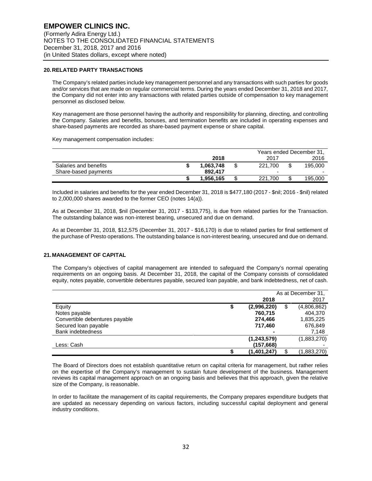# **20. RELATED PARTY TRANSACTIONS**

The Company's related parties include key management personnel and any transactions with such parties for goods and/or services that are made on regular commercial terms. During the years ended December 31, 2018 and 2017, the Company did not enter into any transactions with related parties outside of compensation to key management personnel as disclosed below.

Key management are those personnel having the authority and responsibility for planning, directing, and controlling the Company. Salaries and benefits, bonuses, and termination benefits are included in operating expenses and share-based payments are recorded as share-based payment expense or share capital.

Key management compensation includes:

|                       | Years ended December 31 |    |         |    |         |
|-----------------------|-------------------------|----|---------|----|---------|
|                       | 2018                    |    | 2017    |    |         |
| Salaries and benefits | 1,063,748               | \$ | 221.700 | \$ | 195.000 |
| Share-based payments  | 892.417                 |    | -       |    | -       |
|                       | 1.956.165               | \$ | 221.700 | S  | 195.000 |

Included in salaries and benefits for the year ended December 31, 2018 is \$477,180 (2017 - \$nil; 2016 - \$nil) related to 2,000,000 shares awarded to the former CEO (notes 14(a)).

As at December 31, 2018, \$nil (December 31, 2017 - \$133,775), is due from related parties for the Transaction. The outstanding balance was non-interest bearing, unsecured and due on demand.

As at December 31, 2018, \$12,575 (December 31, 2017 - \$16,170) is due to related parties for final settlement of the purchase of Presto operations. The outstanding balance is non-interest bearing, unsecured and due on demand.

#### **21. MANAGEMENT OF CAPITAL**

The Company's objectives of capital management are intended to safeguard the Company's normal operating requirements on an ongoing basis. At December 31, 2018, the capital of the Company consists of consolidated equity, notes payable, convertible debentures payable, secured loan payable, and bank indebtedness, net of cash.

|                                | As at December 31. |    |             |  |  |  |
|--------------------------------|--------------------|----|-------------|--|--|--|
|                                | 2018               |    | 2017        |  |  |  |
| Equity                         | \$<br>(2,996,220)  | \$ | (4,806,862) |  |  |  |
| Notes payable                  | 760.715            |    | 404.370     |  |  |  |
| Convertible debentures payable | 274.466            |    | 1,835,225   |  |  |  |
| Secured loan payable           | 717.460            |    | 676,849     |  |  |  |
| Bank indebtedness              |                    |    | 7,148       |  |  |  |
|                                | (1, 243, 579)      |    | (1,883,270) |  |  |  |
| Less: Cash                     | (157, 668)         |    |             |  |  |  |
|                                | (1,401,247)        |    | (1,883,270) |  |  |  |

The Board of Directors does not establish quantitative return on capital criteria for management, but rather relies on the expertise of the Company's management to sustain future development of the business. Management reviews its capital management approach on an ongoing basis and believes that this approach, given the relative size of the Company, is reasonable.

In order to facilitate the management of its capital requirements, the Company prepares expenditure budgets that are updated as necessary depending on various factors, including successful capital deployment and general industry conditions.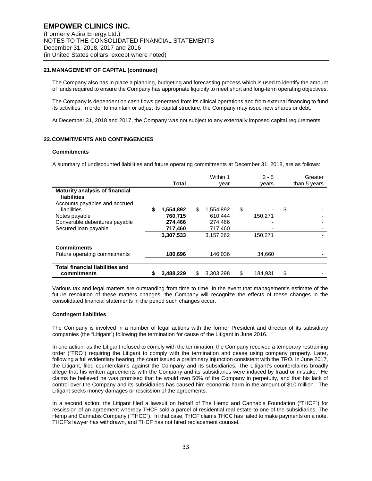# **21. MANAGEMENT OF CAPITAL (continued)**

The Company also has in place a planning, budgeting and forecasting process which is used to identify the amount of funds required to ensure the Company has appropriate liquidity to meet short and long-term operating objectives.

The Company is dependent on cash flows generated from its clinical operations and from external financing to fund its activities. In order to maintain or adjust its capital structure, the Company may issue new shares or debt.

At December 31, 2018 and 2017, the Company was not subject to any externally imposed capital requirements.

#### **22. COMMITMENTS AND CONTINGENCIES**

#### **Commitments**

A summary of undiscounted liabilities and future operating commitments at December 31, 2018, are as follows:

|                                                             |   |              |    | Within 1  | $2 - 5$       | Greater      |
|-------------------------------------------------------------|---|--------------|----|-----------|---------------|--------------|
|                                                             |   | <b>Total</b> |    | vear      | vears         | than 5 years |
| <b>Maturity analysis of financial</b><br><b>liabilities</b> |   |              |    |           |               |              |
| Accounts payables and accrued<br>liabilities                | S | 1,554,892    | \$ | 1,554,892 | \$            | \$           |
| Notes payable                                               |   | 760.715      |    | 610.444   | 150.271       |              |
| Convertible debentures payable                              |   | 274,466      |    | 274,466   |               |              |
| Secured loan payable                                        |   | 717.460      |    | 717.460   |               |              |
|                                                             |   | 3,307,533    |    | 3,157,262 | 150.271       |              |
| <b>Commitments</b>                                          |   |              |    |           |               |              |
| Future operating commitments                                |   | 180.696      |    | 146.036   | 34.660        |              |
| <b>Total financial liabilities and</b>                      |   |              |    |           |               |              |
| commitments                                                 |   | 3.488.229    | S  | 3.303.298 | \$<br>184.931 | \$           |

Various tax and legal matters are outstanding from time to time. In the event that management's estimate of the future resolution of these matters changes, the Company will recognize the effects of these changes in the consolidated financial statements in the period such changes occur.

#### **Contingent liabilities**

The Company is involved in a number of legal actions with the former President and director of its subsidiary companies (the "Litigant") following the termination for cause of the Litigant in June 2016.

In one action, as the Litigant refused to comply with the termination, the Company received a temporary restraining order ("TRO") requiring the Litigant to comply with the termination and cease using company property. Later, following a full evidentiary hearing, the court issued a preliminary injunction consistent with the TRO. In June 2017, the Litigant, filed counterclaims against the Company and its subsidiaries. The Litigant's counterclaims broadly allege that his written agreements with the Company and its subsidiaries were induced by fraud or mistake. He claims he believed he was promised that he would own 50% of the Company in perpetuity, and that his lack of control over the Company and its subsidiaries has caused him economic harm in the amount of \$10 million. The Litigant seeks money damages or rescission of the agreements.

In a second action, the Litigant filed a lawsuit on behalf of The Hemp and Cannabis Foundation ("THCF") for rescission of an agreement whereby THCF sold a parcel of residential real estate to one of the subsidiaries, The Hemp and Cannabis Company ("THCC"). In that case, THCF claims THCC has failed to make payments on a note. THCF's lawyer has withdrawn, and THCF has not hired replacement counsel.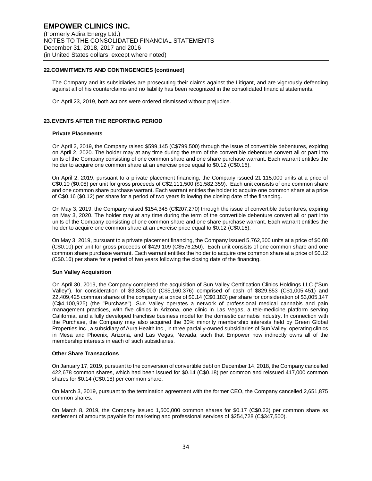# **22.COMMITMENTS AND CONTINGENCIES (continued)**

The Company and its subsidiaries are prosecuting their claims against the Litigant, and are vigorously defending against all of his counterclaims and no liability has been recognized in the consolidated financial statements.

On April 23, 2019, both actions were ordered dismissed without prejudice.

# **23. EVENTS AFTER THE REPORTING PERIOD**

# **Private Placements**

On April 2, 2019, the Company raised \$599,145 (C\$799,500) through the issue of convertible debentures, expiring on April 2, 2020. The holder may at any time during the term of the convertible debenture convert all or part into units of the Company consisting of one common share and one share purchase warrant. Each warrant entitles the holder to acquire one common share at an exercise price equal to \$0.12 (C\$0.16).

On April 2, 2019, pursuant to a private placement financing, the Company issued 21,115,000 units at a price of C\$0.10 (\$0.08) per unit for gross proceeds of C\$2,111,500 (\$1,582,359). Each unit consists of one common share and one common share purchase warrant. Each warrant entitles the holder to acquire one common share at a price of C\$0.16 (\$0.12) per share for a period of two years following the closing date of the financing.

On May 3, 2019, the Company raised \$154,345 (C\$207,270) through the issue of convertible debentures, expiring on May 3, 2020. The holder may at any time during the term of the convertible debenture convert all or part into units of the Company consisting of one common share and one share purchase warrant. Each warrant entitles the holder to acquire one common share at an exercise price equal to \$0.12 (C\$0.16).

On May 3, 2019, pursuant to a private placement financing, the Company issued 5,762,500 units at a price of \$0.08 (C\$0.10) per unit for gross proceeds of \$429,109 (C\$576,250). Each unit consists of one common share and one common share purchase warrant. Each warrant entitles the holder to acquire one common share at a price of \$0.12 (C\$0.16) per share for a period of two years following the closing date of the financing.

#### **Sun Valley Acquisition**

On April 30, 2019, the Company completed the acquisition of Sun Valley Certification Clinics Holdings LLC ("Sun Valley"), for consideration of \$3,835,000 (C\$5,160,376) comprised of cash of \$829,853 (C\$1,005,451) and 22,409,425 common shares of the company at a price of \$0.14 (C\$0.183) per share for consideration of \$3,005,147 (C\$4,100,925) (the "Purchase"). Sun Valley operates a network of professional medical cannabis and pain management practices, with five clinics in Arizona, one clinic in Las Vegas, a tele-medicine platform serving California, and a fully developed franchise business model for the domestic cannabis industry. In connection with the Purchase, the Company may also acquired the 30% minority membership interests held by Green Global Properties Inc., a subsidiary of Aura Health Inc., in three partially-owned subsidiaries of Sun Valley, operating clinics in Mesa and Phoenix, Arizona, and Las Vegas, Nevada, such that Empower now indirectly owns all of the membership interests in each of such subsidiaries.

#### **Other Share Transactions**

On January 17, 2019, pursuant to the conversion of convertible debt on December 14, 2018, the Company cancelled 422,678 common shares, which had been issued for \$0.14 (C\$0.18) per common and reissued 417,000 common shares for \$0.14 (C\$0.18) per common share.

On March 3, 2019, pursuant to the termination agreement with the former CEO, the Company cancelled 2,651,875 common shares.

On March 8, 2019, the Company issued 1,500,000 common shares for \$0.17 (C\$0.23) per common share as settlement of amounts payable for marketing and professional services of \$254,728 (C\$347,500).